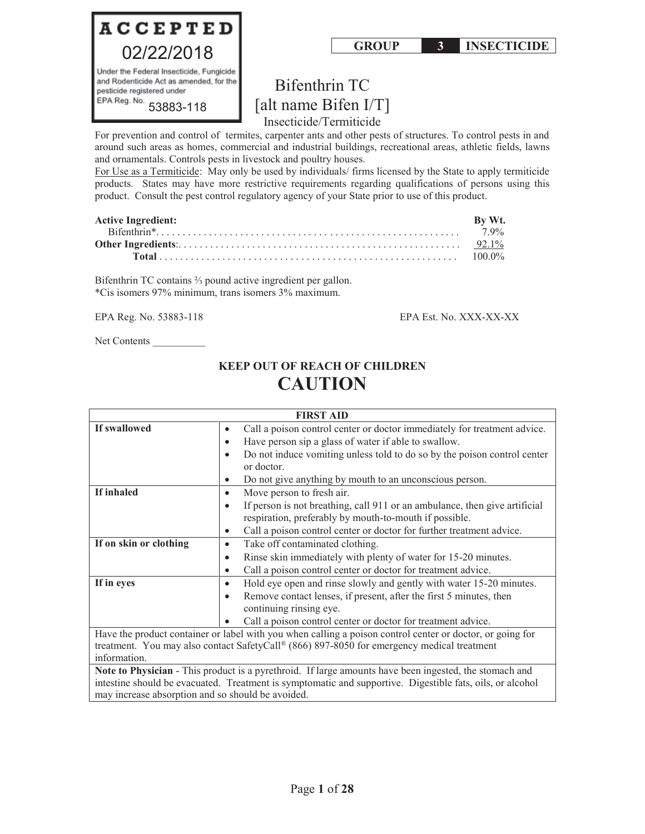

# Bifenthrin TC [alt name Bifen I/T]

Insecticide/Termiticide

For prevention and control of termites, carpenter ants and other pests of structures. To control pests in and around such areas as homes, commercial and industrial buildings, recreational areas, athletic fields, lawns and ornamentals. Controls pests in livestock and poultry houses.

For Use as a Termiticide: May only be used by individuals/ firms licensed by the State to apply termiticide products. States may have more restrictive requirements regarding qualifications of persons using this product. Consult the pest control regulatory agency of your State prior to use of this product.

| <b>Active Ingredient:</b> | By Wt. |
|---------------------------|--------|
|                           |        |
|                           |        |
|                           |        |

Bifenthrin TC contains ⅔ pound active ingredient per gallon. \*Cis isomers 97% minimum, trans isomers 3% maximum.

EPA Reg. No. 53883-118 EPA Est. No. XXX-XX-XX

Net Contents

## **KEEP OUT OF REACH OF CHILDREN CAUTION**

|                        | <b>FIRST AID</b>                                                                                          |  |  |  |  |
|------------------------|-----------------------------------------------------------------------------------------------------------|--|--|--|--|
| If swallowed           | Call a poison control center or doctor immediately for treatment advice.<br>٠                             |  |  |  |  |
|                        | Have person sip a glass of water if able to swallow.<br>$\bullet$                                         |  |  |  |  |
|                        | Do not induce vomiting unless told to do so by the poison control center<br>$\bullet$                     |  |  |  |  |
|                        | or doctor.                                                                                                |  |  |  |  |
|                        | Do not give anything by mouth to an unconscious person.                                                   |  |  |  |  |
| If inhaled             | Move person to fresh air.<br>$\bullet$                                                                    |  |  |  |  |
|                        | If person is not breathing, call 911 or an ambulance, then give artificial<br>$\bullet$                   |  |  |  |  |
|                        | respiration, preferably by mouth-to-mouth if possible.                                                    |  |  |  |  |
|                        | Call a poison control center or doctor for further treatment advice.                                      |  |  |  |  |
| If on skin or clothing | Take off contaminated clothing.<br>٠                                                                      |  |  |  |  |
|                        | Rinse skin immediately with plenty of water for 15-20 minutes.<br>$\bullet$                               |  |  |  |  |
|                        | Call a poison control center or doctor for treatment advice.<br>$\bullet$                                 |  |  |  |  |
| If in eyes             | Hold eye open and rinse slowly and gently with water 15-20 minutes.<br>٠                                  |  |  |  |  |
|                        | Remove contact lenses, if present, after the first 5 minutes, then                                        |  |  |  |  |
|                        | continuing rinsing eye.                                                                                   |  |  |  |  |
|                        | Call a poison control center or doctor for treatment advice.                                              |  |  |  |  |
|                        | Have the product container or label with you when calling a poison control center or doctor, or going for |  |  |  |  |
|                        | treatment. You may also contact SafetyCall® (866) 897-8050 for emergency medical treatment                |  |  |  |  |
| information.           |                                                                                                           |  |  |  |  |

**Note to Physician** - This product is a pyrethroid. If large amounts have been ingested, the stomach and intestine should be evacuated. Treatment is symptomatic and supportive. Digestible fats, oils, or alcohol may increase absorption and so should be avoided.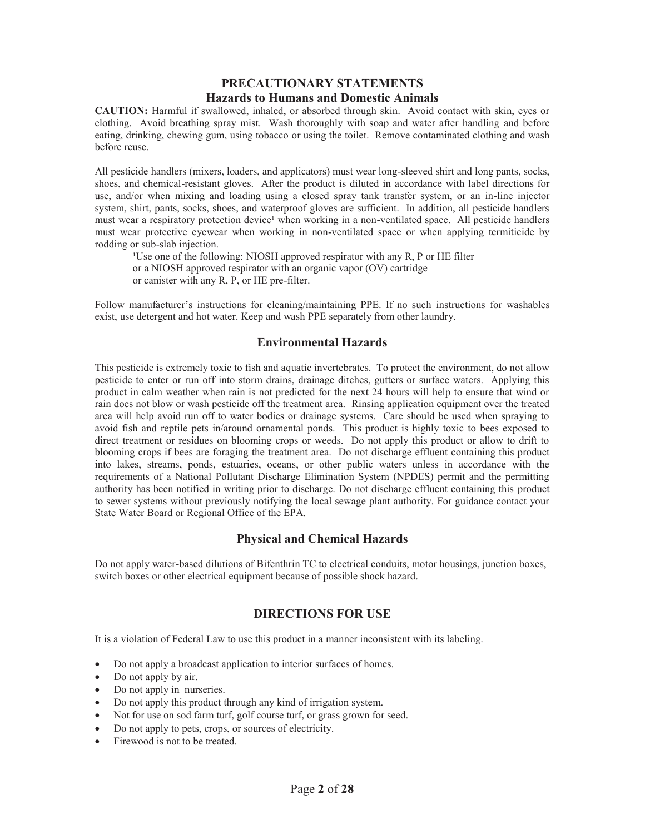## **PRECAUTIONARY STATEMENTS Hazards to Humans and Domestic Animals**

**CAUTION:** Harmful if swallowed, inhaled, or absorbed through skin. Avoid contact with skin, eyes or clothing. Avoid breathing spray mist. Wash thoroughly with soap and water after handling and before eating, drinking, chewing gum, using tobacco or using the toilet. Remove contaminated clothing and wash before reuse.

All pesticide handlers (mixers, loaders, and applicators) must wear long-sleeved shirt and long pants, socks, shoes, and chemical-resistant gloves. After the product is diluted in accordance with label directions for use, and/or when mixing and loading using a closed spray tank transfer system, or an in-line injector system, shirt, pants, socks, shoes, and waterproof gloves are sufficient. In addition, all pesticide handlers must wear a respiratory protection device<sup>1</sup> when working in a non-ventilated space. All pesticide handlers must wear protective eyewear when working in non-ventilated space or when applying termiticide by rodding or sub-slab injection.

<sup>1</sup>Use one of the following: NIOSH approved respirator with any R, P or HE filter or a NIOSH approved respirator with an organic vapor (OV) cartridge or canister with any R, P, or HE pre-filter.

Follow manufacturer's instructions for cleaning/maintaining PPE. If no such instructions for washables exist, use detergent and hot water. Keep and wash PPE separately from other laundry.

## **Environmental Hazards**

This pesticide is extremely toxic to fish and aquatic invertebrates. To protect the environment, do not allow pesticide to enter or run off into storm drains, drainage ditches, gutters or surface waters. Applying this product in calm weather when rain is not predicted for the next 24 hours will help to ensure that wind or rain does not blow or wash pesticide off the treatment area. Rinsing application equipment over the treated area will help avoid run off to water bodies or drainage systems. Care should be used when spraying to avoid fish and reptile pets in/around ornamental ponds. This product is highly toxic to bees exposed to direct treatment or residues on blooming crops or weeds. Do not apply this product or allow to drift to blooming crops if bees are foraging the treatment area. Do not discharge effluent containing this product into lakes, streams, ponds, estuaries, oceans, or other public waters unless in accordance with the requirements of a National Pollutant Discharge Elimination System (NPDES) permit and the permitting authority has been notified in writing prior to discharge. Do not discharge effluent containing this product to sewer systems without previously notifying the local sewage plant authority. For guidance contact your State Water Board or Regional Office of the EPA.

## **Physical and Chemical Hazards**

Do not apply water-based dilutions of Bifenthrin TC to electrical conduits, motor housings, junction boxes, switch boxes or other electrical equipment because of possible shock hazard.

## **DIRECTIONS FOR USE**

It is a violation of Federal Law to use this product in a manner inconsistent with its labeling.

- Do not apply a broadcast application to interior surfaces of homes.
- Do not apply by air.
- Do not apply in nurseries.
- Do not apply this product through any kind of irrigation system.
- Not for use on sod farm turf, golf course turf, or grass grown for seed.
- Do not apply to pets, crops, or sources of electricity.
- Firewood is not to be treated.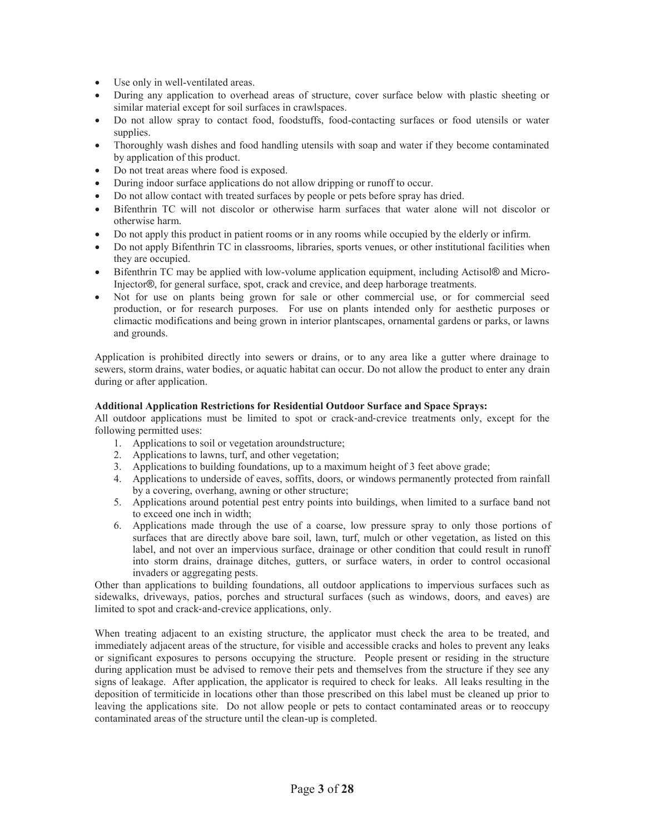- Use only in well-ventilated areas.
- During any application to overhead areas of structure, cover surface below with plastic sheeting or similar material except for soil surfaces in crawlspaces.
- Do not allow spray to contact food, foodstuffs, food-contacting surfaces or food utensils or water supplies.
- Thoroughly wash dishes and food handling utensils with soap and water if they become contaminated by application of this product.
- Do not treat areas where food is exposed.
- During indoor surface applications do not allow dripping or runoff to occur.
- Do not allow contact with treated surfaces by people or pets before spray has dried.
- x Bifenthrin TC will not discolor or otherwise harm surfaces that water alone will not discolor or otherwise harm.
- Do not apply this product in patient rooms or in any rooms while occupied by the elderly or infirm.
- Do not apply Bifenthrin TC in classrooms, libraries, sports venues, or other institutional facilities when they are occupied.
- Bifenthrin TC may be applied with low-volume application equipment, including Actisol® and Micro-Injector®, for general surface, spot, crack and crevice, and deep harborage treatments.
- x Not for use on plants being grown for sale or other commercial use, or for commercial seed production, or for research purposes. For use on plants intended only for aesthetic purposes or climactic modifications and being grown in interior plantscapes, ornamental gardens or parks, or lawns and grounds.

Application is prohibited directly into sewers or drains, or to any area like a gutter where drainage to sewers, storm drains, water bodies, or aquatic habitat can occur. Do not allow the product to enter any drain during or after application.

#### **Additional Application Restrictions for Residential Outdoor Surface and Space Sprays:**

All outdoor applications must be limited to spot or crack-and-crevice treatments only, except for the following permitted uses:

- 1. Applications to soil or vegetation aroundstructure;
- 2. Applications to lawns, turf, and other vegetation;
- 3. Applications to building foundations, up to a maximum height of 3 feet above grade;
- 4. Applications to underside of eaves, soffits, doors, or windows permanently protected from rainfall by a covering, overhang, awning or other structure;
- 5. Applications around potential pest entry points into buildings, when limited to a surface band not to exceed one inch in width;
- 6. Applications made through the use of a coarse, low pressure spray to only those portions of surfaces that are directly above bare soil, lawn, turf, mulch or other vegetation, as listed on this label, and not over an impervious surface, drainage or other condition that could result in runoff into storm drains, drainage ditches, gutters, or surface waters, in order to control occasional invaders or aggregating pests.

Other than applications to building foundations, all outdoor applications to impervious surfaces such as sidewalks, driveways, patios, porches and structural surfaces (such as windows, doors, and eaves) are limited to spot and crack-and-crevice applications, only.

When treating adjacent to an existing structure, the applicator must check the area to be treated, and immediately adjacent areas of the structure, for visible and accessible cracks and holes to prevent any leaks or significant exposures to persons occupying the structure. People present or residing in the structure during application must be advised to remove their pets and themselves from the structure if they see any signs of leakage. After application, the applicator is required to check for leaks. All leaks resulting in the deposition of termiticide in locations other than those prescribed on this label must be cleaned up prior to leaving the applications site. Do not allow people or pets to contact contaminated areas or to reoccupy contaminated areas of the structure until the clean-up is completed.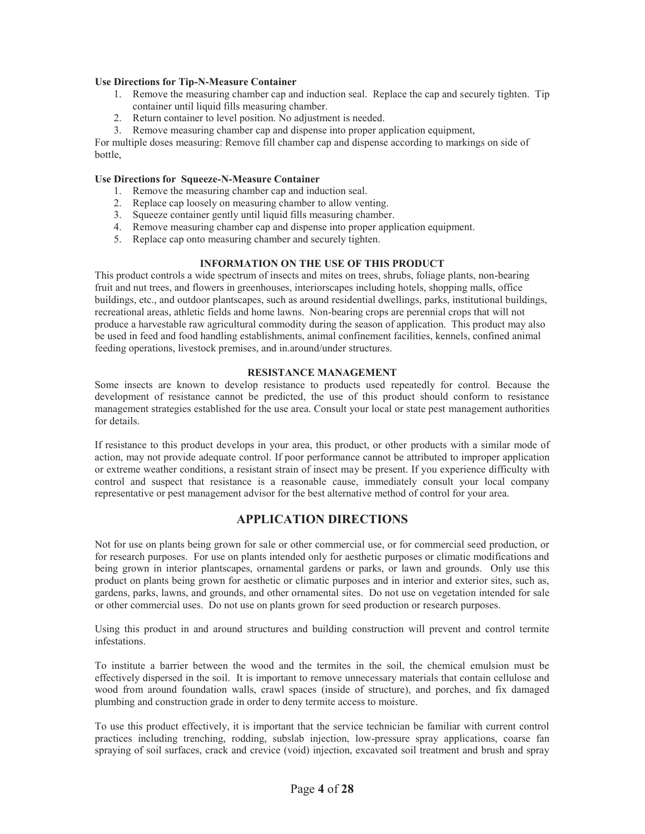#### **Use Directions for Tip-N-Measure Container**

- 1. Remove the measuring chamber cap and induction seal. Replace the cap and securely tighten. Tip container until liquid fills measuring chamber.
- 2. Return container to level position. No adjustment is needed.
- 3. Remove measuring chamber cap and dispense into proper application equipment,

For multiple doses measuring: Remove fill chamber cap and dispense according to markings on side of bottle,

#### **Use Directions for Squeeze-N-Measure Container**

- 1. Remove the measuring chamber cap and induction seal.
- 2. Replace cap loosely on measuring chamber to allow venting.
- 3. Squeeze container gently until liquid fills measuring chamber.
- 4. Remove measuring chamber cap and dispense into proper application equipment.
- 5. Replace cap onto measuring chamber and securely tighten.

#### **INFORMATION ON THE USE OF THIS PRODUCT**

This product controls a wide spectrum of insects and mites on trees, shrubs, foliage plants, non-bearing fruit and nut trees, and flowers in greenhouses, interiorscapes including hotels, shopping malls, office buildings, etc., and outdoor plantscapes, such as around residential dwellings, parks, institutional buildings, recreational areas, athletic fields and home lawns. Non-bearing crops are perennial crops that will not produce a harvestable raw agricultural commodity during the season of application. This product may also be used in feed and food handling establishments, animal confinement facilities, kennels, confined animal feeding operations, livestock premises, and in.around/under structures.

#### **RESISTANCE MANAGEMENT**

Some insects are known to develop resistance to products used repeatedly for control. Because the development of resistance cannot be predicted, the use of this product should conform to resistance management strategies established for the use area. Consult your local or state pest management authorities for details.

If resistance to this product develops in your area, this product, or other products with a similar mode of action, may not provide adequate control. If poor performance cannot be attributed to improper application or extreme weather conditions, a resistant strain of insect may be present. If you experience difficulty with control and suspect that resistance is a reasonable cause, immediately consult your local company representative or pest management advisor for the best alternative method of control for your area.

## **APPLICATION DIRECTIONS**

Not for use on plants being grown for sale or other commercial use, or for commercial seed production, or for research purposes. For use on plants intended only for aesthetic purposes or climatic modifications and being grown in interior plantscapes, ornamental gardens or parks, or lawn and grounds. Only use this product on plants being grown for aesthetic or climatic purposes and in interior and exterior sites, such as, gardens, parks, lawns, and grounds, and other ornamental sites. Do not use on vegetation intended for sale or other commercial uses. Do not use on plants grown for seed production or research purposes.

Using this product in and around structures and building construction will prevent and control termite infestations.

To institute a barrier between the wood and the termites in the soil, the chemical emulsion must be effectively dispersed in the soil. It is important to remove unnecessary materials that contain cellulose and wood from around foundation walls, crawl spaces (inside of structure), and porches, and fix damaged plumbing and construction grade in order to deny termite access to moisture.

To use this product effectively, it is important that the service technician be familiar with current control practices including trenching, rodding, subslab injection, low-pressure spray applications, coarse fan spraying of soil surfaces, crack and crevice (void) injection, excavated soil treatment and brush and spray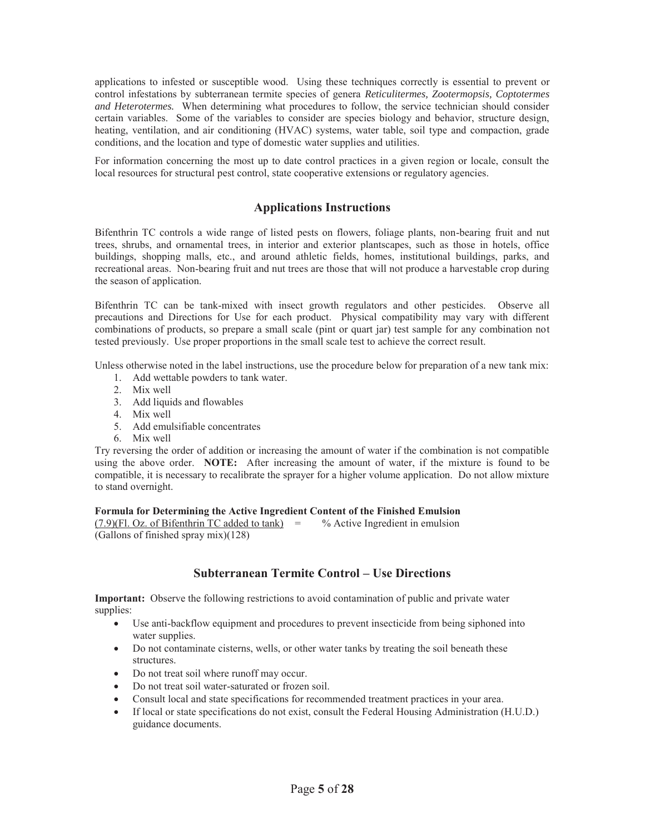applications to infested or susceptible wood. Using these techniques correctly is essential to prevent or control infestations by subterranean termite species of genera *Reticulitermes, Zootermopsis, Coptotermes and Heterotermes.* When determining what procedures to follow, the service technician should consider certain variables. Some of the variables to consider are species biology and behavior, structure design, heating, ventilation, and air conditioning (HVAC) systems, water table, soil type and compaction, grade conditions, and the location and type of domestic water supplies and utilities.

For information concerning the most up to date control practices in a given region or locale, consult the local resources for structural pest control, state cooperative extensions or regulatory agencies.

## **Applications Instructions**

Bifenthrin TC controls a wide range of listed pests on flowers, foliage plants, non-bearing fruit and nut trees, shrubs, and ornamental trees, in interior and exterior plantscapes, such as those in hotels, office buildings, shopping malls, etc., and around athletic fields, homes, institutional buildings, parks, and recreational areas. Non-bearing fruit and nut trees are those that will not produce a harvestable crop during the season of application.

Bifenthrin TC can be tank-mixed with insect growth regulators and other pesticides. Observe all precautions and Directions for Use for each product. Physical compatibility may vary with different combinations of products, so prepare a small scale (pint or quart jar) test sample for any combination not tested previously. Use proper proportions in the small scale test to achieve the correct result.

Unless otherwise noted in the label instructions, use the procedure below for preparation of a new tank mix:

- 1. Add wettable powders to tank water.
- 2. Mix well
- 3. Add liquids and flowables
- 4. Mix well
- 5. Add emulsifiable concentrates
- 6. Mix well

Try reversing the order of addition or increasing the amount of water if the combination is not compatible using the above order. **NOTE:** After increasing the amount of water, if the mixture is found to be compatible, it is necessary to recalibrate the sprayer for a higher volume application. Do not allow mixture to stand overnight.

#### **Formula for Determining the Active Ingredient Content of the Finished Emulsion**

 $(7.9)$ (Fl. Oz. of Bifenthrin TC added to tank) = % Active Ingredient in emulsion (Gallons of finished spray mix)(128)

## **Subterranean Termite Control – Use Directions**

**Important:** Observe the following restrictions to avoid contamination of public and private water supplies:

- Use anti-backflow equipment and procedures to prevent insecticide from being siphoned into water supplies.
- Do not contaminate cisterns, wells, or other water tanks by treating the soil beneath these structures.
- Do not treat soil where runoff may occur.
- Do not treat soil water-saturated or frozen soil.
- Consult local and state specifications for recommended treatment practices in your area.
- If local or state specifications do not exist, consult the Federal Housing Administration (H.U.D.) guidance documents.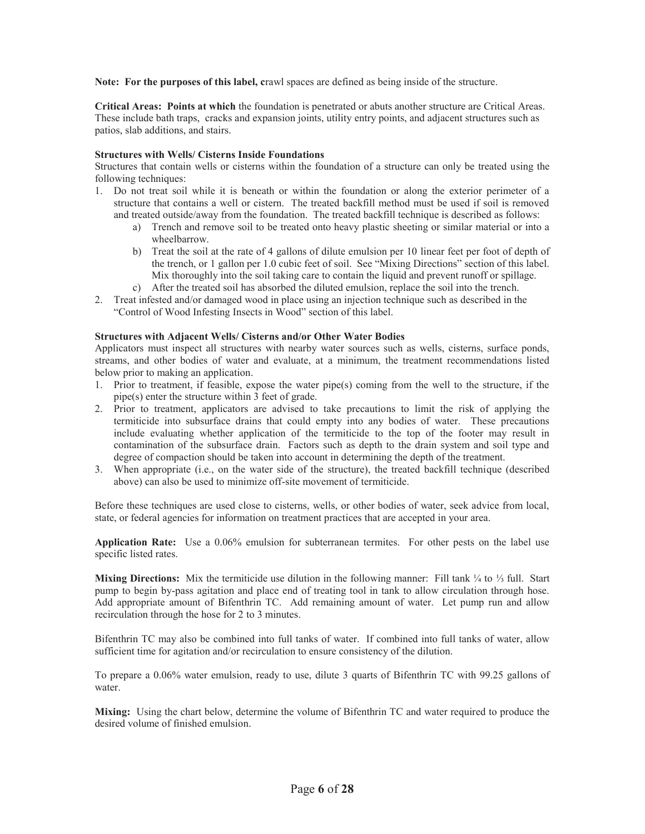**Note: For the purposes of this label, c**rawl spaces are defined as being inside of the structure.

**Critical Areas: Points at which** the foundation is penetrated or abuts another structure are Critical Areas. These include bath traps, cracks and expansion joints, utility entry points, and adjacent structures such as patios, slab additions, and stairs.

#### **Structures with Wells/ Cisterns Inside Foundations**

Structures that contain wells or cisterns within the foundation of a structure can only be treated using the following techniques:

- 1. Do not treat soil while it is beneath or within the foundation or along the exterior perimeter of a structure that contains a well or cistern. The treated backfill method must be used if soil is removed and treated outside/away from the foundation. The treated backfill technique is described as follows:
	- a) Trench and remove soil to be treated onto heavy plastic sheeting or similar material or into a wheelbarrow.
	- b) Treat the soil at the rate of 4 gallons of dilute emulsion per 10 linear feet per foot of depth of the trench, or 1 gallon per 1.0 cubic feet of soil. See "Mixing Directions" section of this label. Mix thoroughly into the soil taking care to contain the liquid and prevent runoff or spillage.
	- c) After the treated soil has absorbed the diluted emulsion, replace the soil into the trench.
- 2. Treat infested and/or damaged wood in place using an injection technique such as described in the "Control of Wood Infesting Insects in Wood" section of this label.

#### **Structures with Adjacent Wells/ Cisterns and/or Other Water Bodies**

Applicators must inspect all structures with nearby water sources such as wells, cisterns, surface ponds, streams, and other bodies of water and evaluate, at a minimum, the treatment recommendations listed below prior to making an application.

- 1. Prior to treatment, if feasible, expose the water pipe(s) coming from the well to the structure, if the pipe(s) enter the structure within 3 feet of grade.
- 2. Prior to treatment, applicators are advised to take precautions to limit the risk of applying the termiticide into subsurface drains that could empty into any bodies of water. These precautions include evaluating whether application of the termiticide to the top of the footer may result in contamination of the subsurface drain. Factors such as depth to the drain system and soil type and degree of compaction should be taken into account in determining the depth of the treatment.
- 3. When appropriate (i.e., on the water side of the structure), the treated backfill technique (described above) can also be used to minimize off-site movement of termiticide.

Before these techniques are used close to cisterns, wells, or other bodies of water, seek advice from local, state, or federal agencies for information on treatment practices that are accepted in your area.

**Application Rate:** Use a 0.06% emulsion for subterranean termites. For other pests on the label use specific listed rates.

**Mixing Directions:** Mix the termiticide use dilution in the following manner: Fill tank ¼ to ⅓ full. Start pump to begin by-pass agitation and place end of treating tool in tank to allow circulation through hose. Add appropriate amount of Bifenthrin TC. Add remaining amount of water. Let pump run and allow recirculation through the hose for 2 to 3 minutes.

Bifenthrin TC may also be combined into full tanks of water. If combined into full tanks of water, allow sufficient time for agitation and/or recirculation to ensure consistency of the dilution.

To prepare a 0.06% water emulsion, ready to use, dilute 3 quarts of Bifenthrin TC with 99.25 gallons of water.

**Mixing:** Using the chart below, determine the volume of Bifenthrin TC and water required to produce the desired volume of finished emulsion.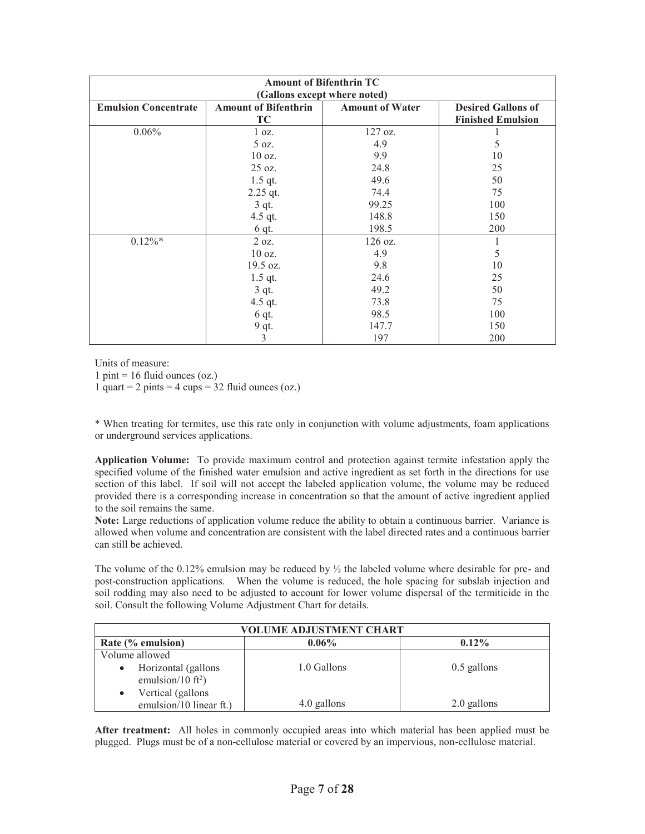| <b>Amount of Bifenthrin TC</b><br>(Gallons except where noted) |                                   |                        |                                                       |  |
|----------------------------------------------------------------|-----------------------------------|------------------------|-------------------------------------------------------|--|
| <b>Emulsion Concentrate</b>                                    | <b>Amount of Bifenthrin</b><br>TC | <b>Amount of Water</b> | <b>Desired Gallons of</b><br><b>Finished Emulsion</b> |  |
| 0.06%                                                          | $1 \text{ oz.}$<br>5 oz.          | $127$ oz.<br>4.9       | 5                                                     |  |
|                                                                | $10$ oz.<br>$25 \text{ oz.}$      | 9.9<br>24.8            | 10<br>25                                              |  |
|                                                                | $1.5$ qt.<br>2.25 qt.             | 49.6<br>74.4           | 50<br>75                                              |  |
|                                                                | $3$ qt.                           | 99.25<br>148.8         | 100<br>150                                            |  |
|                                                                | $4.5$ qt.<br>$6$ qt.              | 198.5                  | 200                                                   |  |
| $0.12\%$ <sup>*</sup>                                          | 2 oz.<br>10 oz.                   | $126$ oz.<br>4.9       | 5                                                     |  |
|                                                                | 19.5 oz.<br>$1.5$ qt.             | 9.8<br>24.6            | 10<br>25                                              |  |
|                                                                | $3$ qt.<br>4.5 qt.                | 49.2<br>73.8           | 50<br>75                                              |  |
|                                                                | 6 qt.<br>9 qt.                    | 98.5<br>147.7          | 100<br>150                                            |  |
|                                                                | 3                                 | 197                    | 200                                                   |  |

Units of measure:

 $1 \text{ pint} = 16 \text{ fluid ounces}$  (oz.)

1 quart = 2 pints = 4 cups =  $32$  fluid ounces (oz.)

\* When treating for termites, use this rate only in conjunction with volume adjustments, foam applications or underground services applications.

**Application Volume:** To provide maximum control and protection against termite infestation apply the specified volume of the finished water emulsion and active ingredient as set forth in the directions for use section of this label. If soil will not accept the labeled application volume, the volume may be reduced provided there is a corresponding increase in concentration so that the amount of active ingredient applied to the soil remains the same.

**Note:** Large reductions of application volume reduce the ability to obtain a continuous barrier. Variance is allowed when volume and concentration are consistent with the label directed rates and a continuous barrier can still be achieved.

The volume of the 0.12% emulsion may be reduced by ½ the labeled volume where desirable for pre- and post-construction applications. When the volume is reduced, the hole spacing for subslab injection and soil rodding may also need to be adjusted to account for lower volume dispersal of the termiticide in the soil. Consult the following Volume Adjustment Chart for details.

| VOLUME ADJUSTMENT CHART                              |             |               |  |  |  |
|------------------------------------------------------|-------------|---------------|--|--|--|
| Rate (% emulsion)                                    | $0.12\%$    |               |  |  |  |
| Volume allowed                                       |             |               |  |  |  |
| Horizontal (gallons<br>emulsion/10 ft <sup>2</sup> ) | 1.0 Gallons | $0.5$ gallons |  |  |  |
| Vertical (gallons                                    |             |               |  |  |  |
| emulsion/10 linear ft.)                              | 4.0 gallons | 2.0 gallons   |  |  |  |

**After treatment:** All holes in commonly occupied areas into which material has been applied must be plugged. Plugs must be of a non-cellulose material or covered by an impervious, non-cellulose material.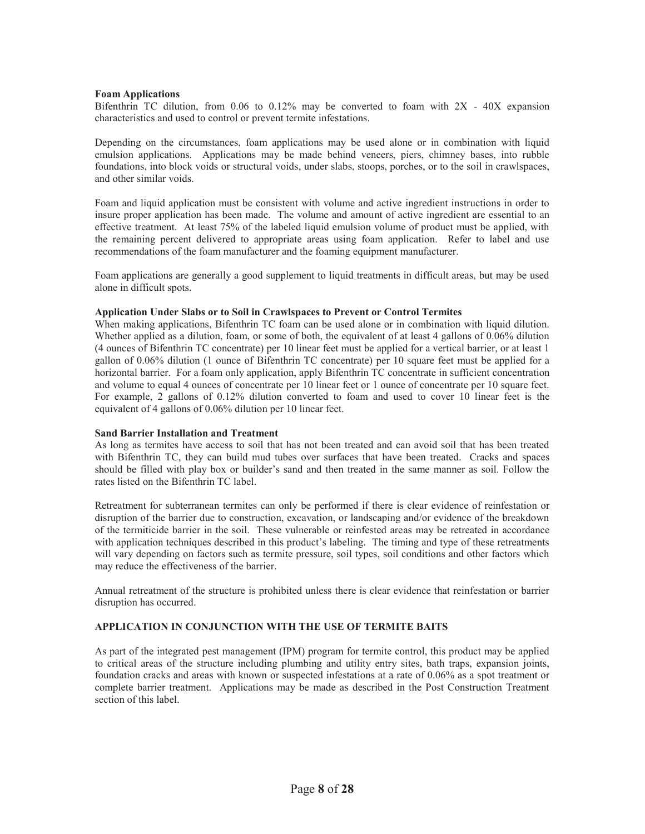#### **Foam Applications**

Bifenthrin TC dilution, from 0.06 to 0.12% may be converted to foam with 2X - 40X expansion characteristics and used to control or prevent termite infestations.

Depending on the circumstances, foam applications may be used alone or in combination with liquid emulsion applications. Applications may be made behind veneers, piers, chimney bases, into rubble foundations, into block voids or structural voids, under slabs, stoops, porches, or to the soil in crawlspaces, and other similar voids.

Foam and liquid application must be consistent with volume and active ingredient instructions in order to insure proper application has been made. The volume and amount of active ingredient are essential to an effective treatment. At least 75% of the labeled liquid emulsion volume of product must be applied, with the remaining percent delivered to appropriate areas using foam application. Refer to label and use recommendations of the foam manufacturer and the foaming equipment manufacturer.

Foam applications are generally a good supplement to liquid treatments in difficult areas, but may be used alone in difficult spots.

#### **Application Under Slabs or to Soil in Crawlspaces to Prevent or Control Termites**

When making applications, Bifenthrin TC foam can be used alone or in combination with liquid dilution. Whether applied as a dilution, foam, or some of both, the equivalent of at least 4 gallons of 0.06% dilution (4 ounces of Bifenthrin TC concentrate) per 10 linear feet must be applied for a vertical barrier, or at least 1 gallon of 0.06% dilution (1 ounce of Bifenthrin TC concentrate) per 10 square feet must be applied for a horizontal barrier. For a foam only application, apply Bifenthrin TC concentrate in sufficient concentration and volume to equal 4 ounces of concentrate per 10 linear feet or 1 ounce of concentrate per 10 square feet. For example, 2 gallons of 0.12% dilution converted to foam and used to cover 10 linear feet is the equivalent of 4 gallons of 0.06% dilution per 10 linear feet.

#### **Sand Barrier Installation and Treatment**

As long as termites have access to soil that has not been treated and can avoid soil that has been treated with Bifenthrin TC, they can build mud tubes over surfaces that have been treated. Cracks and spaces should be filled with play box or builder's sand and then treated in the same manner as soil. Follow the rates listed on the Bifenthrin TC label.

Retreatment for subterranean termites can only be performed if there is clear evidence of reinfestation or disruption of the barrier due to construction, excavation, or landscaping and/or evidence of the breakdown of the termiticide barrier in the soil. These vulnerable or reinfested areas may be retreated in accordance with application techniques described in this product's labeling. The timing and type of these retreatments will vary depending on factors such as termite pressure, soil types, soil conditions and other factors which may reduce the effectiveness of the barrier.

Annual retreatment of the structure is prohibited unless there is clear evidence that reinfestation or barrier disruption has occurred.

#### **APPLICATION IN CONJUNCTION WITH THE USE OF TERMITE BAITS**

As part of the integrated pest management (IPM) program for termite control, this product may be applied to critical areas of the structure including plumbing and utility entry sites, bath traps, expansion joints, foundation cracks and areas with known or suspected infestations at a rate of 0.06% as a spot treatment or complete barrier treatment. Applications may be made as described in the Post Construction Treatment section of this label.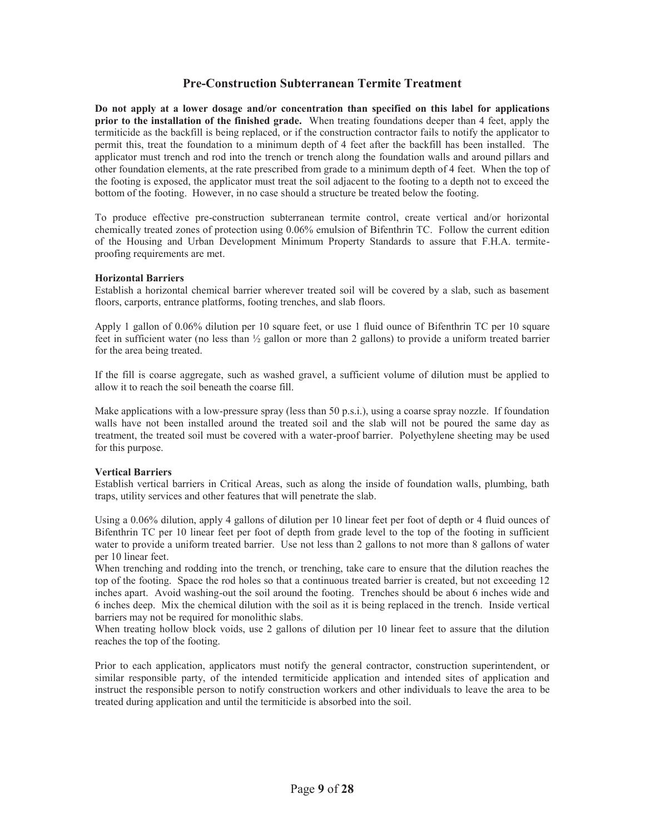## **Pre-Construction Subterranean Termite Treatment**

**Do not apply at a lower dosage and/or concentration than specified on this label for applications prior to the installation of the finished grade.** When treating foundations deeper than 4 feet, apply the termiticide as the backfill is being replaced, or if the construction contractor fails to notify the applicator to permit this, treat the foundation to a minimum depth of 4 feet after the backfill has been installed. The applicator must trench and rod into the trench or trench along the foundation walls and around pillars and other foundation elements, at the rate prescribed from grade to a minimum depth of 4 feet. When the top of the footing is exposed, the applicator must treat the soil adjacent to the footing to a depth not to exceed the bottom of the footing. However, in no case should a structure be treated below the footing.

To produce effective pre-construction subterranean termite control, create vertical and/or horizontal chemically treated zones of protection using 0.06% emulsion of Bifenthrin TC. Follow the current edition of the Housing and Urban Development Minimum Property Standards to assure that F.H.A. termiteproofing requirements are met.

#### **Horizontal Barriers**

Establish a horizontal chemical barrier wherever treated soil will be covered by a slab, such as basement floors, carports, entrance platforms, footing trenches, and slab floors.

Apply 1 gallon of 0.06% dilution per 10 square feet, or use 1 fluid ounce of Bifenthrin TC per 10 square feet in sufficient water (no less than  $\frac{1}{2}$  gallon or more than 2 gallons) to provide a uniform treated barrier for the area being treated.

If the fill is coarse aggregate, such as washed gravel, a sufficient volume of dilution must be applied to allow it to reach the soil beneath the coarse fill.

Make applications with a low-pressure spray (less than 50 p.s.i.), using a coarse spray nozzle. If foundation walls have not been installed around the treated soil and the slab will not be poured the same day as treatment, the treated soil must be covered with a water-proof barrier. Polyethylene sheeting may be used for this purpose.

#### **Vertical Barriers**

Establish vertical barriers in Critical Areas, such as along the inside of foundation walls, plumbing, bath traps, utility services and other features that will penetrate the slab.

Using a 0.06% dilution, apply 4 gallons of dilution per 10 linear feet per foot of depth or 4 fluid ounces of Bifenthrin TC per 10 linear feet per foot of depth from grade level to the top of the footing in sufficient water to provide a uniform treated barrier. Use not less than 2 gallons to not more than 8 gallons of water per 10 linear feet.

When trenching and rodding into the trench, or trenching, take care to ensure that the dilution reaches the top of the footing. Space the rod holes so that a continuous treated barrier is created, but not exceeding 12 inches apart. Avoid washing-out the soil around the footing. Trenches should be about 6 inches wide and 6 inches deep. Mix the chemical dilution with the soil as it is being replaced in the trench. Inside vertical barriers may not be required for monolithic slabs.

When treating hollow block voids, use 2 gallons of dilution per 10 linear feet to assure that the dilution reaches the top of the footing.

Prior to each application, applicators must notify the general contractor, construction superintendent, or similar responsible party, of the intended termiticide application and intended sites of application and instruct the responsible person to notify construction workers and other individuals to leave the area to be treated during application and until the termiticide is absorbed into the soil.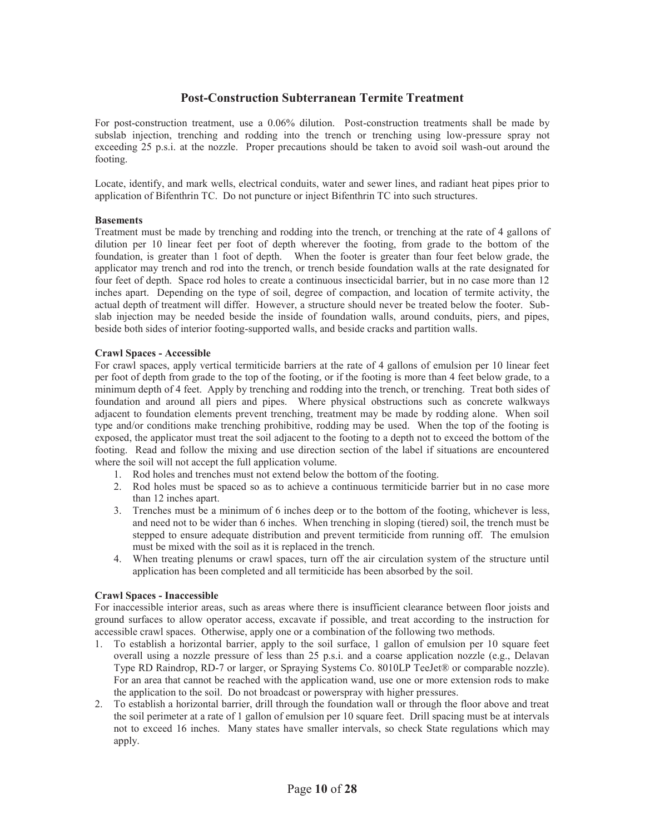## **Post-Construction Subterranean Termite Treatment**

For post-construction treatment, use a 0.06% dilution. Post-construction treatments shall be made by subslab injection, trenching and rodding into the trench or trenching using low-pressure spray not exceeding 25 p.s.i. at the nozzle. Proper precautions should be taken to avoid soil wash-out around the footing.

Locate, identify, and mark wells, electrical conduits, water and sewer lines, and radiant heat pipes prior to application of Bifenthrin TC. Do not puncture or inject Bifenthrin TC into such structures.

#### **Basements**

Treatment must be made by trenching and rodding into the trench, or trenching at the rate of 4 gallons of dilution per 10 linear feet per foot of depth wherever the footing, from grade to the bottom of the foundation, is greater than 1 foot of depth. When the footer is greater than four feet below grade, the applicator may trench and rod into the trench, or trench beside foundation walls at the rate designated for four feet of depth. Space rod holes to create a continuous insecticidal barrier, but in no case more than 12 inches apart. Depending on the type of soil, degree of compaction, and location of termite activity, the actual depth of treatment will differ. However, a structure should never be treated below the footer. Subslab injection may be needed beside the inside of foundation walls, around conduits, piers, and pipes, beside both sides of interior footing-supported walls, and beside cracks and partition walls.

#### **Crawl Spaces - Accessible**

For crawl spaces, apply vertical termiticide barriers at the rate of 4 gallons of emulsion per 10 linear feet per foot of depth from grade to the top of the footing, or if the footing is more than 4 feet below grade, to a minimum depth of 4 feet. Apply by trenching and rodding into the trench, or trenching. Treat both sides of foundation and around all piers and pipes. Where physical obstructions such as concrete walkways adjacent to foundation elements prevent trenching, treatment may be made by rodding alone. When soil type and/or conditions make trenching prohibitive, rodding may be used. When the top of the footing is exposed, the applicator must treat the soil adjacent to the footing to a depth not to exceed the bottom of the footing. Read and follow the mixing and use direction section of the label if situations are encountered where the soil will not accept the full application volume.

- 1. Rod holes and trenches must not extend below the bottom of the footing.
- 2. Rod holes must be spaced so as to achieve a continuous termiticide barrier but in no case more than 12 inches apart.
- 3. Trenches must be a minimum of 6 inches deep or to the bottom of the footing, whichever is less, and need not to be wider than 6 inches. When trenching in sloping (tiered) soil, the trench must be stepped to ensure adequate distribution and prevent termiticide from running off. The emulsion must be mixed with the soil as it is replaced in the trench.
- 4. When treating plenums or crawl spaces, turn off the air circulation system of the structure until application has been completed and all termiticide has been absorbed by the soil.

#### **Crawl Spaces - Inaccessible**

For inaccessible interior areas, such as areas where there is insufficient clearance between floor joists and ground surfaces to allow operator access, excavate if possible, and treat according to the instruction for accessible crawl spaces. Otherwise, apply one or a combination of the following two methods.

- 1. To establish a horizontal barrier, apply to the soil surface, 1 gallon of emulsion per 10 square feet overall using a nozzle pressure of less than 25 p.s.i. and a coarse application nozzle (e.g., Delavan Type RD Raindrop, RD-7 or larger, or Spraying Systems Co. 8010LP TeeJet® or comparable nozzle). For an area that cannot be reached with the application wand, use one or more extension rods to make the application to the soil. Do not broadcast or powerspray with higher pressures.
- 2. To establish a horizontal barrier, drill through the foundation wall or through the floor above and treat the soil perimeter at a rate of 1 gallon of emulsion per 10 square feet. Drill spacing must be at intervals not to exceed 16 inches. Many states have smaller intervals, so check State regulations which may apply.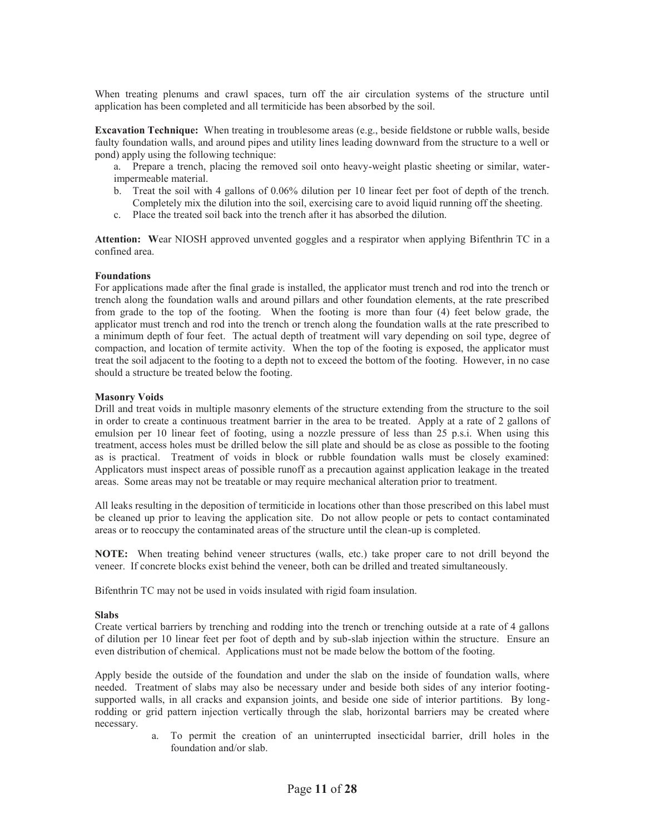When treating plenums and crawl spaces, turn off the air circulation systems of the structure until application has been completed and all termiticide has been absorbed by the soil.

**Excavation Technique:** When treating in troublesome areas (e.g., beside fieldstone or rubble walls, beside faulty foundation walls, and around pipes and utility lines leading downward from the structure to a well or pond) apply using the following technique:

- a. Prepare a trench, placing the removed soil onto heavy-weight plastic sheeting or similar, waterimpermeable material.
- b. Treat the soil with 4 gallons of 0.06% dilution per 10 linear feet per foot of depth of the trench. Completely mix the dilution into the soil, exercising care to avoid liquid running off the sheeting.
- c. Place the treated soil back into the trench after it has absorbed the dilution.

**Attention: W**ear NIOSH approved unvented goggles and a respirator when applying Bifenthrin TC in a confined area.

#### **Foundations**

For applications made after the final grade is installed, the applicator must trench and rod into the trench or trench along the foundation walls and around pillars and other foundation elements, at the rate prescribed from grade to the top of the footing. When the footing is more than four (4) feet below grade, the applicator must trench and rod into the trench or trench along the foundation walls at the rate prescribed to a minimum depth of four feet. The actual depth of treatment will vary depending on soil type, degree of compaction, and location of termite activity. When the top of the footing is exposed, the applicator must treat the soil adjacent to the footing to a depth not to exceed the bottom of the footing. However, in no case should a structure be treated below the footing.

#### **Masonry Voids**

Drill and treat voids in multiple masonry elements of the structure extending from the structure to the soil in order to create a continuous treatment barrier in the area to be treated. Apply at a rate of 2 gallons of emulsion per 10 linear feet of footing, using a nozzle pressure of less than 25 p.s.i. When using this treatment, access holes must be drilled below the sill plate and should be as close as possible to the footing as is practical. Treatment of voids in block or rubble foundation walls must be closely examined: Applicators must inspect areas of possible runoff as a precaution against application leakage in the treated areas. Some areas may not be treatable or may require mechanical alteration prior to treatment.

All leaks resulting in the deposition of termiticide in locations other than those prescribed on this label must be cleaned up prior to leaving the application site. Do not allow people or pets to contact contaminated areas or to reoccupy the contaminated areas of the structure until the clean-up is completed.

**NOTE:** When treating behind veneer structures (walls, etc.) take proper care to not drill beyond the veneer. If concrete blocks exist behind the veneer, both can be drilled and treated simultaneously.

Bifenthrin TC may not be used in voids insulated with rigid foam insulation.

#### **Slabs**

Create vertical barriers by trenching and rodding into the trench or trenching outside at a rate of 4 gallons of dilution per 10 linear feet per foot of depth and by sub-slab injection within the structure. Ensure an even distribution of chemical. Applications must not be made below the bottom of the footing.

Apply beside the outside of the foundation and under the slab on the inside of foundation walls, where needed. Treatment of slabs may also be necessary under and beside both sides of any interior footingsupported walls, in all cracks and expansion joints, and beside one side of interior partitions. By longrodding or grid pattern injection vertically through the slab, horizontal barriers may be created where necessary.

> a. To permit the creation of an uninterrupted insecticidal barrier, drill holes in the foundation and/or slab.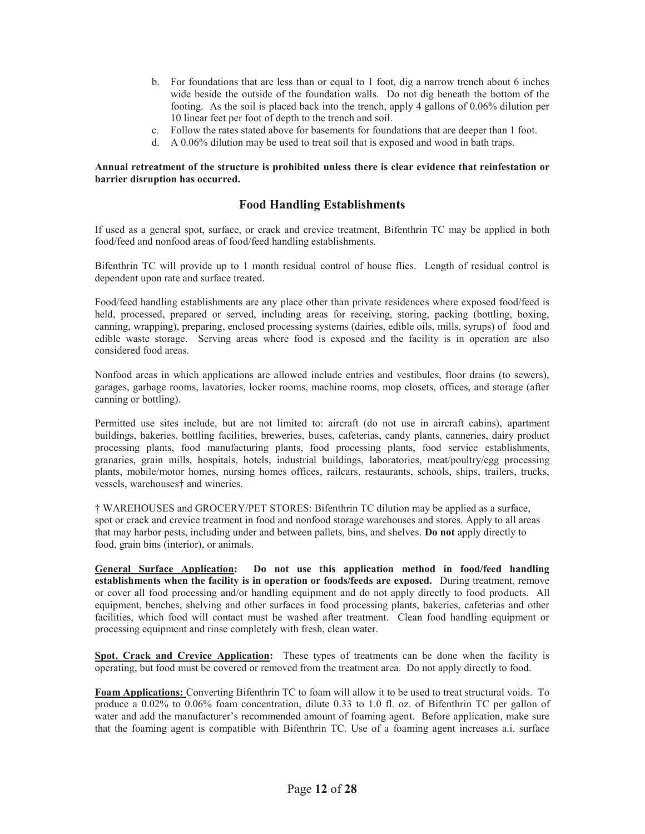- b. For foundations that are less than or equal to 1 foot, dig a narrow trench about 6 inches wide beside the outside of the foundation walls. Do not dig beneath the bottom of the footing. As the soil is placed back into the trench, apply 4 gallons of 0.06% dilution per 10 linear feet per foot of depth to the trench and soil.
- c. Follow the rates stated above for basements for foundations that are deeper than 1 foot.
- d. A 0.06% dilution may be used to treat soil that is exposed and wood in bath traps.

#### **Annual retreatment of the structure is prohibited unless there is clear evidence that reinfestation or barrier disruption has occurred.**

## **Food Handling Establishments**

If used as a general spot, surface, or crack and crevice treatment, Bifenthrin TC may be applied in both food/feed and nonfood areas of food/feed handling establishments.

Bifenthrin TC will provide up to 1 month residual control of house flies. Length of residual control is dependent upon rate and surface treated.

Food/feed handling establishments are any place other than private residences where exposed food/feed is held, processed, prepared or served, including areas for receiving, storing, packing (bottling, boxing, canning, wrapping), preparing, enclosed processing systems (dairies, edible oils, mills, syrups) of food and edible waste storage. Serving areas where food is exposed and the facility is in operation are also considered food areas.

Nonfood areas in which applications are allowed include entries and vestibules, floor drains (to sewers), garages, garbage rooms, lavatories, locker rooms, machine rooms, mop closets, offices, and storage (after canning or bottling).

Permitted use sites include, but are not limited to: aircraft (do not use in aircraft cabins), apartment buildings, bakeries, bottling facilities, breweries, buses, cafeterias, candy plants, canneries, dairy product processing plants, food manufacturing plants, food processing plants, food service establishments, granaries, grain mills, hospitals, hotels, industrial buildings, laboratories, meat/poultry/egg processing plants, mobile/motor homes, nursing homes offices, railcars, restaurants, schools, ships, trailers, trucks, vessels, warehouses† and wineries.

† WAREHOUSES and GROCERY/PET STORES: Bifenthrin TC dilution may be applied as a surface, spot or crack and crevice treatment in food and nonfood storage warehouses and stores. Apply to all areas that may harbor pests, including under and between pallets, bins, and shelves. **Do not** apply directly to food, grain bins (interior), or animals.

**General Surface Application: Do not use this application method in food/feed handling establishments when the facility is in operation or foods/feeds are exposed.** During treatment, remove or cover all food processing and/or handling equipment and do not apply directly to food products. All equipment, benches, shelving and other surfaces in food processing plants, bakeries, cafeterias and other facilities, which food will contact must be washed after treatment. Clean food handling equipment or processing equipment and rinse completely with fresh, clean water.

**Spot, Crack and Crevice Application:** These types of treatments can be done when the facility is operating, but food must be covered or removed from the treatment area. Do not apply directly to food.

**Foam Applications:** Converting Bifenthrin TC to foam will allow it to be used to treat structural voids. To produce a 0.02% to 0.06% foam concentration, dilute 0.33 to 1.0 fl. oz. of Bifenthrin TC per gallon of water and add the manufacturer's recommended amount of foaming agent. Before application, make sure that the foaming agent is compatible with Bifenthrin TC. Use of a foaming agent increases a.i. surface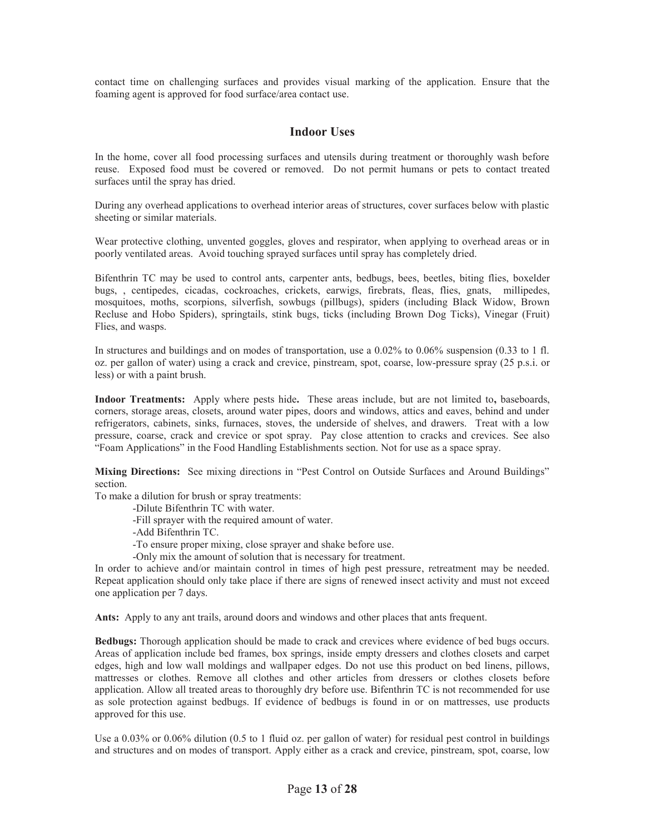contact time on challenging surfaces and provides visual marking of the application. Ensure that the foaming agent is approved for food surface/area contact use.

## **Indoor Uses**

In the home, cover all food processing surfaces and utensils during treatment or thoroughly wash before reuse. Exposed food must be covered or removed. Do not permit humans or pets to contact treated surfaces until the spray has dried.

During any overhead applications to overhead interior areas of structures, cover surfaces below with plastic sheeting or similar materials.

Wear protective clothing, unvented goggles, gloves and respirator, when applying to overhead areas or in poorly ventilated areas. Avoid touching sprayed surfaces until spray has completely dried.

Bifenthrin TC may be used to control ants, carpenter ants, bedbugs, bees, beetles, biting flies, boxelder bugs, , centipedes, cicadas, cockroaches, crickets, earwigs, firebrats, fleas, flies, gnats, millipedes, mosquitoes, moths, scorpions, silverfish, sowbugs (pillbugs), spiders (including Black Widow, Brown Recluse and Hobo Spiders), springtails, stink bugs, ticks (including Brown Dog Ticks), Vinegar (Fruit) Flies, and wasps.

In structures and buildings and on modes of transportation, use a 0.02% to 0.06% suspension (0.33 to 1 fl. oz. per gallon of water) using a crack and crevice, pinstream, spot, coarse, low-pressure spray (25 p.s.i. or less) or with a paint brush.

**Indoor Treatments:** Apply where pests hide**.** These areas include, but are not limited to**,** baseboards, corners, storage areas, closets, around water pipes, doors and windows, attics and eaves, behind and under refrigerators, cabinets, sinks, furnaces, stoves, the underside of shelves, and drawers. Treat with a low pressure, coarse, crack and crevice or spot spray. Pay close attention to cracks and crevices. See also "Foam Applications" in the Food Handling Establishments section. Not for use as a space spray.

**Mixing Directions:** See mixing directions in "Pest Control on Outside Surfaces and Around Buildings" section.

To make a dilution for brush or spray treatments:

-Dilute Bifenthrin TC with water.

-Fill sprayer with the required amount of water.

-Add Bifenthrin TC.

-To ensure proper mixing, close sprayer and shake before use.

-Only mix the amount of solution that is necessary for treatment.

In order to achieve and/or maintain control in times of high pest pressure, retreatment may be needed. Repeat application should only take place if there are signs of renewed insect activity and must not exceed one application per 7 days.

**Ants:** Apply to any ant trails, around doors and windows and other places that ants frequent.

**Bedbugs:** Thorough application should be made to crack and crevices where evidence of bed bugs occurs. Areas of application include bed frames, box springs, inside empty dressers and clothes closets and carpet edges, high and low wall moldings and wallpaper edges. Do not use this product on bed linens, pillows, mattresses or clothes. Remove all clothes and other articles from dressers or clothes closets before application. Allow all treated areas to thoroughly dry before use. Bifenthrin TC is not recommended for use as sole protection against bedbugs. If evidence of bedbugs is found in or on mattresses, use products approved for this use.

Use a 0.03% or 0.06% dilution (0.5 to 1 fluid oz. per gallon of water) for residual pest control in buildings and structures and on modes of transport. Apply either as a crack and crevice, pinstream, spot, coarse, low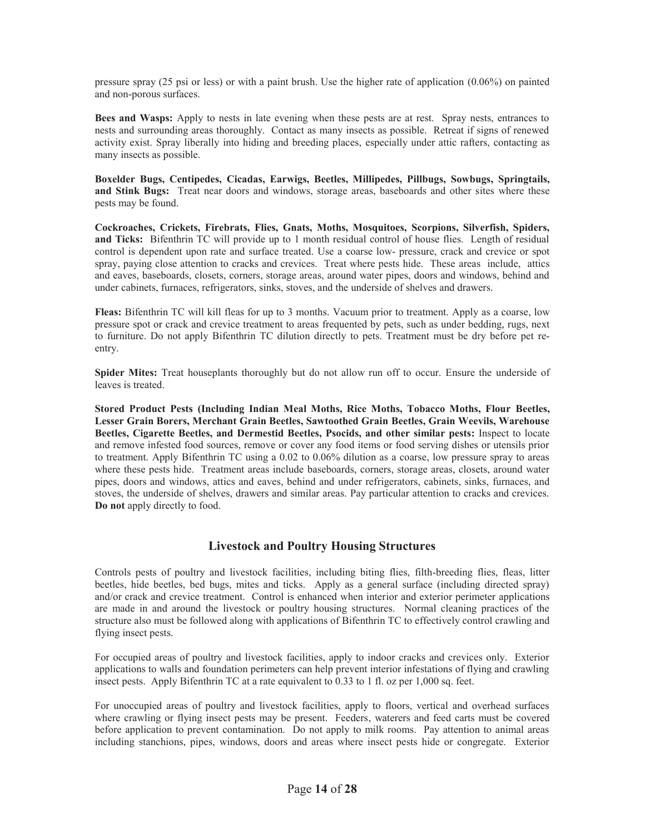pressure spray (25 psi or less) or with a paint brush. Use the higher rate of application (0.06%) on painted and non-porous surfaces.

**Bees and Wasps:** Apply to nests in late evening when these pests are at rest. Spray nests, entrances to nests and surrounding areas thoroughly. Contact as many insects as possible. Retreat if signs of renewed activity exist. Spray liberally into hiding and breeding places, especially under attic rafters, contacting as many insects as possible.

**Boxelder Bugs, Centipedes, Cicadas, Earwigs, Beetles, Millipedes, Pillbugs, Sowbugs, Springtails, and Stink Bugs:** Treat near doors and windows, storage areas, baseboards and other sites where these pests may be found.

**Cockroaches, Crickets, Firebrats, Flies, Gnats, Moths, Mosquitoes, Scorpions, Silverfish, Spiders, and Ticks:** Bifenthrin TC will provide up to 1 month residual control of house flies. Length of residual control is dependent upon rate and surface treated. Use a coarse low- pressure, crack and crevice or spot spray, paying close attention to cracks and crevices. Treat where pests hide. These areas include, attics and eaves, baseboards, closets, corners, storage areas, around water pipes, doors and windows, behind and under cabinets, furnaces, refrigerators, sinks, stoves, and the underside of shelves and drawers.

**Fleas:** Bifenthrin TC will kill fleas for up to 3 months. Vacuum prior to treatment. Apply as a coarse, low pressure spot or crack and crevice treatment to areas frequented by pets, such as under bedding, rugs, next to furniture. Do not apply Bifenthrin TC dilution directly to pets. Treatment must be dry before pet reentry.

**Spider Mites:** Treat houseplants thoroughly but do not allow run off to occur. Ensure the underside of leaves is treated.

**Stored Product Pests (Including Indian Meal Moths, Rice Moths, Tobacco Moths, Flour Beetles, Lesser Grain Borers, Merchant Grain Beetles, Sawtoothed Grain Beetles, Grain Weevils, Warehouse Beetles, Cigarette Beetles, and Dermestid Beetles, Psocids, and other similar pests:** Inspect to locate and remove infested food sources, remove or cover any food items or food serving dishes or utensils prior to treatment. Apply Bifenthrin TC using a 0.02 to 0.06% dilution as a coarse, low pressure spray to areas where these pests hide. Treatment areas include baseboards, corners, storage areas, closets, around water pipes, doors and windows, attics and eaves, behind and under refrigerators, cabinets, sinks, furnaces, and stoves, the underside of shelves, drawers and similar areas. Pay particular attention to cracks and crevices. **Do not** apply directly to food.

## **Livestock and Poultry Housing Structures**

Controls pests of poultry and livestock facilities, including biting flies, filth-breeding flies, fleas, litter beetles, hide beetles, bed bugs, mites and ticks. Apply as a general surface (including directed spray) and/or crack and crevice treatment. Control is enhanced when interior and exterior perimeter applications are made in and around the livestock or poultry housing structures. Normal cleaning practices of the structure also must be followed along with applications of Bifenthrin TC to effectively control crawling and flying insect pests.

For occupied areas of poultry and livestock facilities, apply to indoor cracks and crevices only. Exterior applications to walls and foundation perimeters can help prevent interior infestations of flying and crawling insect pests. Apply Bifenthrin TC at a rate equivalent to 0.33 to 1 fl. oz per 1,000 sq. feet.

For unoccupied areas of poultry and livestock facilities, apply to floors, vertical and overhead surfaces where crawling or flying insect pests may be present. Feeders, waterers and feed carts must be covered before application to prevent contamination. Do not apply to milk rooms. Pay attention to animal areas including stanchions, pipes, windows, doors and areas where insect pests hide or congregate. Exterior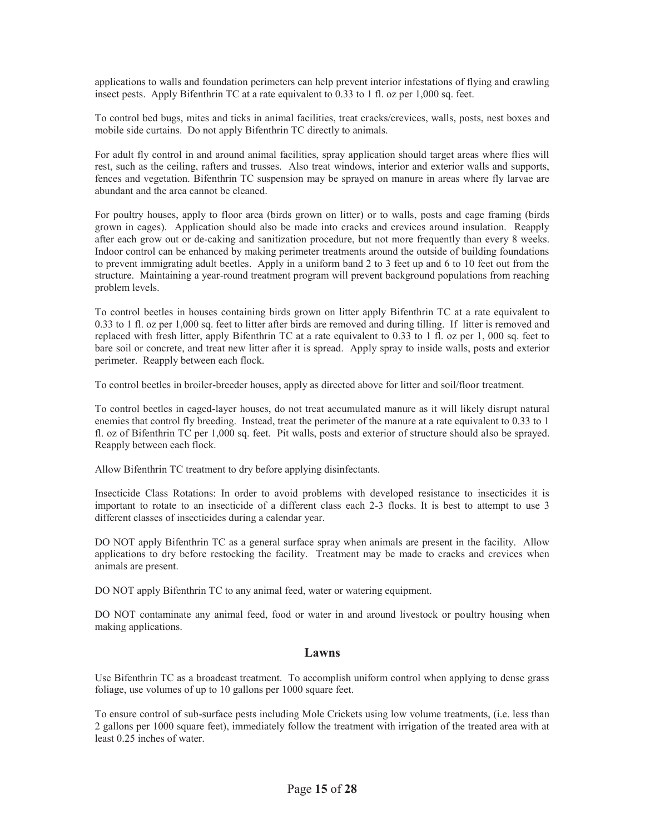applications to walls and foundation perimeters can help prevent interior infestations of flying and crawling insect pests. Apply Bifenthrin TC at a rate equivalent to 0.33 to 1 fl. oz per 1,000 sq. feet.

To control bed bugs, mites and ticks in animal facilities, treat cracks/crevices, walls, posts, nest boxes and mobile side curtains. Do not apply Bifenthrin TC directly to animals.

For adult fly control in and around animal facilities, spray application should target areas where flies will rest, such as the ceiling, rafters and trusses. Also treat windows, interior and exterior walls and supports, fences and vegetation. Bifenthrin TC suspension may be sprayed on manure in areas where fly larvae are abundant and the area cannot be cleaned.

For poultry houses, apply to floor area (birds grown on litter) or to walls, posts and cage framing (birds grown in cages). Application should also be made into cracks and crevices around insulation. Reapply after each grow out or de-caking and sanitization procedure, but not more frequently than every 8 weeks. Indoor control can be enhanced by making perimeter treatments around the outside of building foundations to prevent immigrating adult beetles. Apply in a uniform band 2 to 3 feet up and 6 to 10 feet out from the structure. Maintaining a year-round treatment program will prevent background populations from reaching problem levels.

To control beetles in houses containing birds grown on litter apply Bifenthrin TC at a rate equivalent to 0.33 to 1 fl. oz per 1,000 sq. feet to litter after birds are removed and during tilling. If litter is removed and replaced with fresh litter, apply Bifenthrin TC at a rate equivalent to 0.33 to 1 fl. oz per 1, 000 sq. feet to bare soil or concrete, and treat new litter after it is spread. Apply spray to inside walls, posts and exterior perimeter. Reapply between each flock.

To control beetles in broiler-breeder houses, apply as directed above for litter and soil/floor treatment.

To control beetles in caged-layer houses, do not treat accumulated manure as it will likely disrupt natural enemies that control fly breeding. Instead, treat the perimeter of the manure at a rate equivalent to 0.33 to 1 fl. oz of Bifenthrin TC per 1,000 sq. feet. Pit walls, posts and exterior of structure should also be sprayed. Reapply between each flock.

Allow Bifenthrin TC treatment to dry before applying disinfectants.

Insecticide Class Rotations: In order to avoid problems with developed resistance to insecticides it is important to rotate to an insecticide of a different class each 2-3 flocks. It is best to attempt to use 3 different classes of insecticides during a calendar year.

DO NOT apply Bifenthrin TC as a general surface spray when animals are present in the facility. Allow applications to dry before restocking the facility. Treatment may be made to cracks and crevices when animals are present.

DO NOT apply Bifenthrin TC to any animal feed, water or watering equipment.

DO NOT contaminate any animal feed, food or water in and around livestock or poultry housing when making applications.

## **Lawns**

Use Bifenthrin TC as a broadcast treatment. To accomplish uniform control when applying to dense grass foliage, use volumes of up to 10 gallons per 1000 square feet.

To ensure control of sub-surface pests including Mole Crickets using low volume treatments, (i.e. less than 2 gallons per 1000 square feet), immediately follow the treatment with irrigation of the treated area with at least 0.25 inches of water.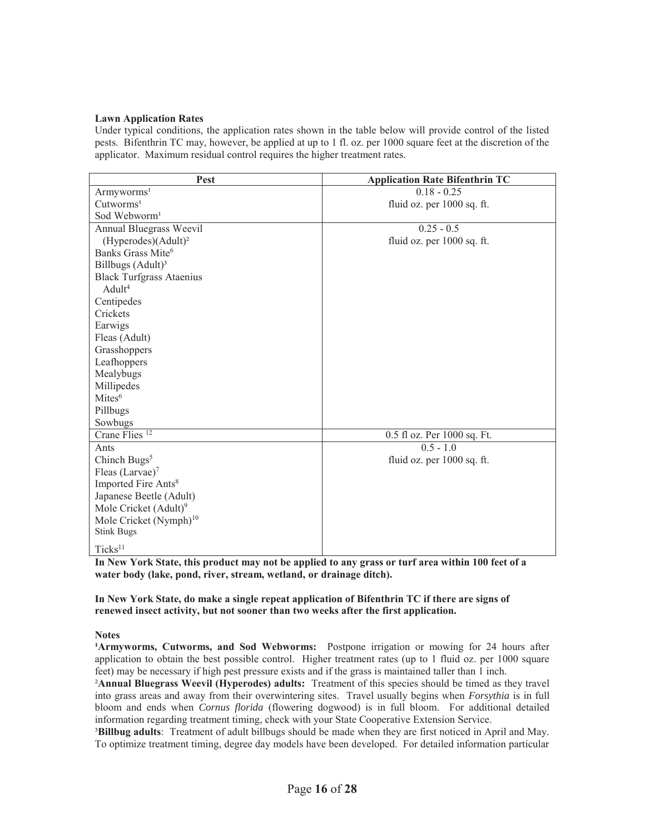#### **Lawn Application Rates**

Under typical conditions, the application rates shown in the table below will provide control of the listed pests. Bifenthrin TC may, however, be applied at up to 1 fl. oz. per 1000 square feet at the discretion of the applicator. Maximum residual control requires the higher treatment rates.

| Pest                               | <b>Application Rate Bifenthrin TC</b> |
|------------------------------------|---------------------------------------|
| Armyworms <sup>1</sup>             | $0.18 - 0.25$                         |
| Cutworms <sup>1</sup>              | fluid oz. per 1000 sq. ft.            |
| Sod Webworm <sup>1</sup>           |                                       |
| Annual Bluegrass Weevil            | $0.25 - 0.5$                          |
| (Hyperodes)(Adult) <sup>2</sup>    | fluid oz. per 1000 sq. ft.            |
| Banks Grass Mite <sup>6</sup>      |                                       |
| Billbugs (Adult) <sup>3</sup>      |                                       |
| <b>Black Turfgrass Ataenius</b>    |                                       |
| Adult <sup>4</sup>                 |                                       |
| Centipedes                         |                                       |
| Crickets                           |                                       |
| Earwigs                            |                                       |
| Fleas (Adult)                      |                                       |
| Grasshoppers                       |                                       |
| Leafhoppers                        |                                       |
| Mealybugs                          |                                       |
| Millipedes                         |                                       |
| Mites <sup>6</sup>                 |                                       |
| Pillbugs                           |                                       |
| Sowbugs                            |                                       |
| Crane Flies <sup>12</sup>          | 0.5 fl oz. Per 1000 sq. Ft.           |
| Ants                               | $\overline{0.5} - 1.0$                |
| Chinch Bugs <sup>5</sup>           | fluid oz. per 1000 sq. ft.            |
| Fleas $(Larvae)^7$                 |                                       |
| Imported Fire Ants <sup>8</sup>    |                                       |
| Japanese Beetle (Adult)            |                                       |
| Mole Cricket (Adult) <sup>9</sup>  |                                       |
| Mole Cricket (Nymph) <sup>10</sup> |                                       |
| <b>Stink Bugs</b>                  |                                       |
| $Ticks^{11}$                       |                                       |

**In New York State, this product may not be applied to any grass or turf area within 100 feet of a water body (lake, pond, river, stream, wetland, or drainage ditch).** 

#### **In New York State, do make a single repeat application of Bifenthrin TC if there are signs of renewed insect activity, but not sooner than two weeks after the first application.**

#### **Notes**

**Armyworms, Cutworms, and Sod Webworms:** Postpone irrigation or mowing for 24 hours after application to obtain the best possible control. Higher treatment rates (up to 1 fluid oz. per 1000 square feet) may be necessary if high pest pressure exists and if the grass is maintained taller than 1 inch.

²**Annual Bluegrass Weevil (Hyperodes) adults:** Treatment of this species should be timed as they travel into grass areas and away from their overwintering sites. Travel usually begins when *Forsythia* is in full bloom and ends when *Cornus florida* (flowering dogwood) is in full bloom. For additional detailed information regarding treatment timing, check with your State Cooperative Extension Service.

³**Billbug adults**: Treatment of adult billbugs should be made when they are first noticed in April and May. To optimize treatment timing, degree day models have been developed. For detailed information particular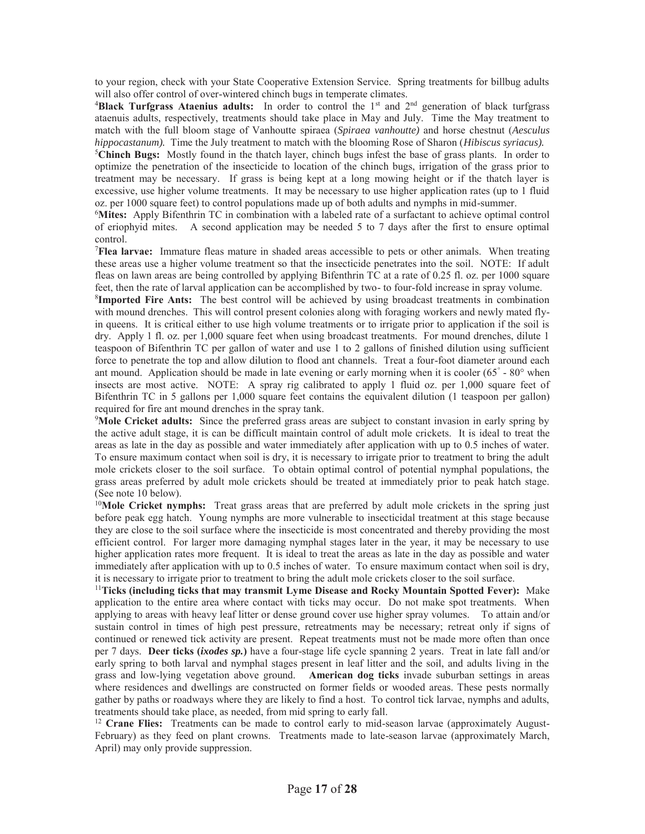to your region, check with your State Cooperative Extension Service. Spring treatments for billbug adults will also offer control of over-wintered chinch bugs in temperate climates.

<sup>4</sup>Black Turfgrass Ataenius adults: In order to control the 1<sup>st</sup> and 2<sup>nd</sup> generation of black turfgrass ataenuis adults, respectively, treatments should take place in May and July. Time the May treatment to match with the full bloom stage of Vanhoutte spiraea (*Spiraea vanhoutte)* and horse chestnut (*Aesculus hippocastanum).* Time the July treatment to match with the blooming Rose of Sharon (*Hibiscus syriacus).* 

<sup>5</sup>Chinch Bugs: Mostly found in the thatch layer, chinch bugs infest the base of grass plants. In order to optimize the penetration of the insecticide to location of the chinch bugs, irrigation of the grass prior to treatment may be necessary. If grass is being kept at a long mowing height or if the thatch layer is excessive, use higher volume treatments. It may be necessary to use higher application rates (up to 1 fluid oz. per 1000 square feet) to control populations made up of both adults and nymphs in mid-summer.

6 **Mites:** Apply Bifenthrin TC in combination with a labeled rate of a surfactant to achieve optimal control of eriophyid mites. A second application may be needed 5 to 7 days after the first to ensure optimal control.

7 **Flea larvae:** Immature fleas mature in shaded areas accessible to pets or other animals. When treating these areas use a higher volume treatment so that the insecticide penetrates into the soil. NOTE: If adult fleas on lawn areas are being controlled by applying Bifenthrin TC at a rate of 0.25 fl. oz. per 1000 square feet, then the rate of larval application can be accomplished by two- to four-fold increase in spray volume.

8 **Imported Fire Ants:** The best control will be achieved by using broadcast treatments in combination with mound drenches. This will control present colonies along with foraging workers and newly mated flyin queens. It is critical either to use high volume treatments or to irrigate prior to application if the soil is dry. Apply 1 fl. oz. per 1,000 square feet when using broadcast treatments. For mound drenches, dilute 1 teaspoon of Bifenthrin TC per gallon of water and use 1 to 2 gallons of finished dilution using sufficient force to penetrate the top and allow dilution to flood ant channels. Treat a four-foot diameter around each ant mound. Application should be made in late evening or early morning when it is cooler (65° - 80° when insects are most active. NOTE: A spray rig calibrated to apply 1 fluid oz. per 1,000 square feet of Bifenthrin TC in 5 gallons per 1,000 square feet contains the equivalent dilution (1 teaspoon per gallon) required for fire ant mound drenches in the spray tank.

9 **Mole Cricket adults:** Since the preferred grass areas are subject to constant invasion in early spring by the active adult stage, it is can be difficult maintain control of adult mole crickets. It is ideal to treat the areas as late in the day as possible and water immediately after application with up to 0.5 inches of water. To ensure maximum contact when soil is dry, it is necessary to irrigate prior to treatment to bring the adult mole crickets closer to the soil surface. To obtain optimal control of potential nymphal populations, the grass areas preferred by adult mole crickets should be treated at immediately prior to peak hatch stage. (See note 10 below).

<sup>10</sup>Mole Cricket nymphs: Treat grass areas that are preferred by adult mole crickets in the spring just before peak egg hatch. Young nymphs are more vulnerable to insecticidal treatment at this stage because they are close to the soil surface where the insecticide is most concentrated and thereby providing the most efficient control. For larger more damaging nymphal stages later in the year, it may be necessary to use higher application rates more frequent. It is ideal to treat the areas as late in the day as possible and water immediately after application with up to 0.5 inches of water. To ensure maximum contact when soil is dry, it is necessary to irrigate prior to treatment to bring the adult mole crickets closer to the soil surface. 11**Ticks (including ticks that may transmit Lyme Disease and Rocky Mountain Spotted Fever):** Make

application to the entire area where contact with ticks may occur. Do not make spot treatments. When applying to areas with heavy leaf litter or dense ground cover use higher spray volumes. To attain and/or sustain control in times of high pest pressure, retreatments may be necessary; retreat only if signs of continued or renewed tick activity are present. Repeat treatments must not be made more often than once per 7 days. **Deer ticks (***ixodes sp.***)** have a four-stage life cycle spanning 2 years. Treat in late fall and/or early spring to both larval and nymphal stages present in leaf litter and the soil, and adults living in the grass and low-lying vegetation above ground. **American dog ticks** invade suburban settings in areas where residences and dwellings are constructed on former fields or wooded areas. These pests normally gather by paths or roadways where they are likely to find a host. To control tick larvae, nymphs and adults, treatments should take place, as needed, from mid spring to early fall. 12 **Crane Flies:** Treatments can be made to control early to mid-season larvae (approximately August-

February) as they feed on plant crowns. Treatments made to late-season larvae (approximately March, April) may only provide suppression.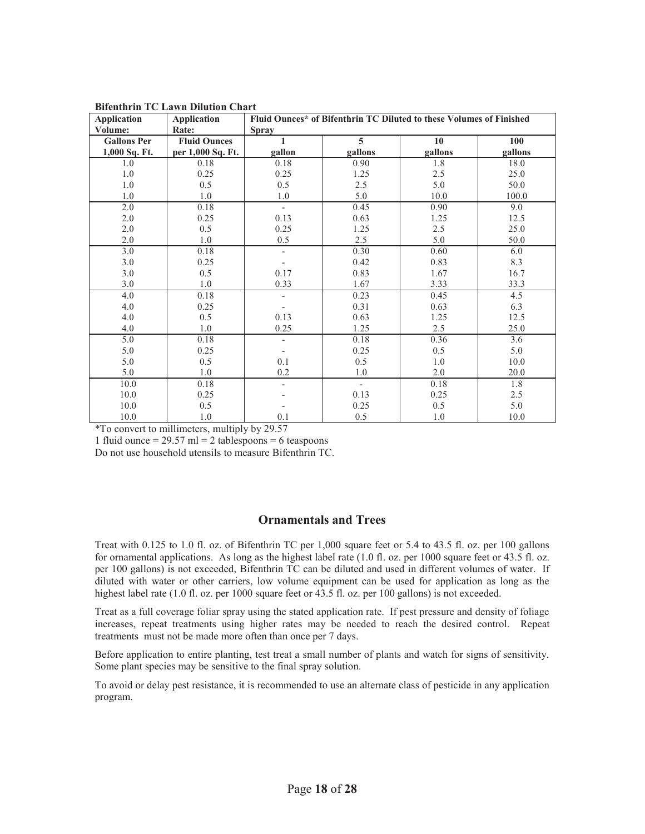| Application        | <b>Application</b>  | Fluid Ounces* of Bifenthrin TC Diluted to these Volumes of Finished |                |         |         |
|--------------------|---------------------|---------------------------------------------------------------------|----------------|---------|---------|
| Volume:            | Rate:               | <b>Spray</b>                                                        |                |         |         |
| <b>Gallons Per</b> | <b>Fluid Ounces</b> |                                                                     | $\overline{5}$ | 10      | 100     |
| 1,000 Sq. Ft.      | per 1,000 Sq. Ft.   | gallon                                                              | gallons        | gallons | gallons |
| 1.0                | 0.18                | 0.18                                                                | 0.90           | 1.8     | 18.0    |
| 1.0                | 0.25                | 0.25                                                                | 1.25           | 2.5     | 25.0    |
| 1.0                | 0.5                 | 0.5                                                                 | 2.5            | 5.0     | 50.0    |
| 1.0                | 1.0                 | 1.0                                                                 | 5.0            | 10.0    | 100.0   |
| 2.0                | 0.18                | $\overline{\phantom{0}}$                                            | 0.45           | 0.90    | 9.0     |
| 2.0                | 0.25                | 0.13                                                                | 0.63           | 1.25    | 12.5    |
| 2.0                | 0.5                 | 0.25                                                                | 1.25           | 2.5     | 25.0    |
| 2.0                | 1.0                 | 0.5                                                                 | 2.5            | 5.0     | 50.0    |
| 3.0                | 0.18                | $\overline{\phantom{0}}$                                            | 0.30           | 0.60    | 6.0     |
| 3.0                | 0.25                |                                                                     | 0.42           | 0.83    | 8.3     |
| 3.0                | 0.5                 | 0.17                                                                | 0.83           | 1.67    | 16.7    |
| 3.0                | 1.0                 | 0.33                                                                | 1.67           | 3.33    | 33.3    |
| 4.0                | 0.18                |                                                                     | 0.23           | 0.45    | 4.5     |
| 4.0                | 0.25                |                                                                     | 0.31           | 0.63    | 6.3     |
| 4.0                | 0.5                 | 0.13                                                                | 0.63           | 1.25    | 12.5    |
| 4.0                | 1.0                 | 0.25                                                                | 1.25           | 2.5     | 25.0    |
| 5.0                | 0.18                |                                                                     | 0.18           | 0.36    | 3.6     |
| 5.0                | 0.25                |                                                                     | 0.25           | 0.5     | 5.0     |
| 5.0                | 0.5                 | 0.1                                                                 | 0.5            | 1.0     | 10.0    |
| 5.0                | 1.0                 | 0.2                                                                 | 1.0            | 2.0     | 20.0    |
| 10.0               | 0.18                |                                                                     | $\sim$         | 0.18    | 1.8     |
| 10.0               | 0.25                |                                                                     | 0.13           | 0.25    | 2.5     |
| 10.0               | 0.5                 |                                                                     | 0.25           | 0.5     | 5.0     |
| 10.0               | 1.0                 | 0.1                                                                 | 0.5            | 1.0     | 10.0    |

**Bifenthrin TC Lawn Dilution Chart** 

\*To convert to millimeters, multiply by 29.57

1 fluid ounce =  $29.57$  ml = 2 tablespoons = 6 teaspoons

Do not use household utensils to measure Bifenthrin TC.

## **Ornamentals and Trees**

Treat with 0.125 to 1.0 fl. oz. of Bifenthrin TC per 1,000 square feet or 5.4 to 43.5 fl. oz. per 100 gallons for ornamental applications. As long as the highest label rate (1.0 fl. oz. per 1000 square feet or 43.5 fl. oz. per 100 gallons) is not exceeded, Bifenthrin TC can be diluted and used in different volumes of water. If diluted with water or other carriers, low volume equipment can be used for application as long as the highest label rate (1.0 fl. oz. per 1000 square feet or 43.5 fl. oz. per 100 gallons) is not exceeded.

Treat as a full coverage foliar spray using the stated application rate. If pest pressure and density of foliage increases, repeat treatments using higher rates may be needed to reach the desired control. Repeat treatments must not be made more often than once per 7 days.

Before application to entire planting, test treat a small number of plants and watch for signs of sensitivity. Some plant species may be sensitive to the final spray solution.

To avoid or delay pest resistance, it is recommended to use an alternate class of pesticide in any application program.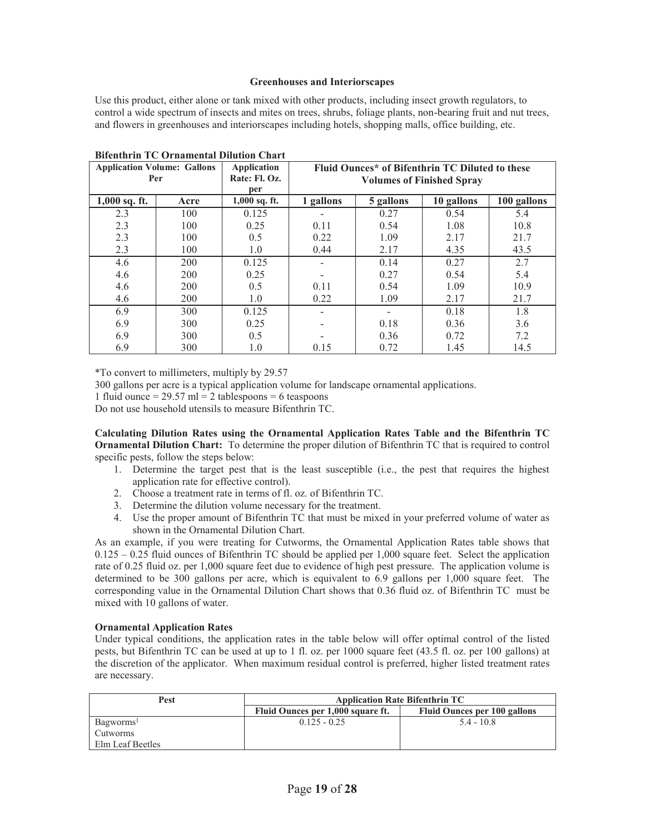#### **Greenhouses and Interiorscapes**

Use this product, either alone or tank mixed with other products, including insect growth regulators, to control a wide spectrum of insects and mites on trees, shrubs, foliage plants, non-bearing fruit and nut trees, and flowers in greenhouses and interiorscapes including hotels, shopping malls, office building, etc.

|                 | <b>Application Volume: Gallons</b><br>Per | Application<br>Rate: Fl. Oz. | Fluid Ounces* of Bifenthrin TC Diluted to these<br><b>Volumes of Finished Spray</b> |           |            |             |
|-----------------|-------------------------------------------|------------------------------|-------------------------------------------------------------------------------------|-----------|------------|-------------|
|                 |                                           | per                          |                                                                                     |           |            |             |
| $1,000$ sq. ft. | Acre                                      | $1,000$ sq. ft.              | 1 gallons                                                                           | 5 gallons | 10 gallons | 100 gallons |
| 2.3             | 100                                       | 0.125                        |                                                                                     | 0.27      | 0.54       | 5.4         |
| 2.3             | 100                                       | 0.25                         | 0.11                                                                                | 0.54      | 1.08       | 10.8        |
| 2.3             | 100                                       | 0.5                          | 0.22                                                                                | 1.09      | 2.17       | 21.7        |
| 2.3             | 100                                       | 1.0                          | 0.44                                                                                | 2.17      | 4.35       | 43.5        |
| 4.6             | 200                                       | 0.125                        |                                                                                     | 0.14      | 0.27       | 2.7         |
| 4.6             | 200                                       | 0.25                         |                                                                                     | 0.27      | 0.54       | 5.4         |
| 4.6             | 200                                       | 0.5                          | 0.11                                                                                | 0.54      | 1.09       | 10.9        |
| 4.6             | 200                                       | 1.0                          | 0.22                                                                                | 1.09      | 2.17       | 21.7        |
| 6.9             | 300                                       | 0.125                        |                                                                                     |           | 0.18       | 1.8         |
| 6.9             | 300                                       | 0.25                         |                                                                                     | 0.18      | 0.36       | 3.6         |
| 6.9             | 300                                       | 0.5                          |                                                                                     | 0.36      | 0.72       | 7.2         |
| 6.9             | 300                                       | 1.0                          | 0.15                                                                                | 0.72      | 1.45       | 14.5        |

**Bifenthrin TC Ornamental Dilution Chart** 

\*To convert to millimeters, multiply by 29.57

300 gallons per acre is a typical application volume for landscape ornamental applications.

1 fluid ounce  $= 29.57$  ml  $= 2$  tablespoons  $= 6$  teaspoons

Do not use household utensils to measure Bifenthrin TC.

**Calculating Dilution Rates using the Ornamental Application Rates Table and the Bifenthrin TC Ornamental Dilution Chart:** To determine the proper dilution of Bifenthrin TC that is required to control specific pests, follow the steps below:

- 1. Determine the target pest that is the least susceptible (i.e., the pest that requires the highest application rate for effective control).
- 2. Choose a treatment rate in terms of fl. oz. of Bifenthrin TC.
- 3. Determine the dilution volume necessary for the treatment.
- 4. Use the proper amount of Bifenthrin TC that must be mixed in your preferred volume of water as shown in the Ornamental Dilution Chart.

As an example, if you were treating for Cutworms, the Ornamental Application Rates table shows that 0.125 – 0.25 fluid ounces of Bifenthrin TC should be applied per 1,000 square feet. Select the application rate of 0.25 fluid oz. per 1,000 square feet due to evidence of high pest pressure. The application volume is determined to be 300 gallons per acre, which is equivalent to 6.9 gallons per 1,000 square feet. The corresponding value in the Ornamental Dilution Chart shows that 0.36 fluid oz. of Bifenthrin TC must be mixed with 10 gallons of water.

#### **Ornamental Application Rates**

Under typical conditions, the application rates in the table below will offer optimal control of the listed pests, but Bifenthrin TC can be used at up to 1 fl. oz. per 1000 square feet (43.5 fl. oz. per 100 gallons) at the discretion of the applicator. When maximum residual control is preferred, higher listed treatment rates are necessary.

| Pest                  | <b>Application Rate Bifenthrin TC</b>                                    |              |  |  |
|-----------------------|--------------------------------------------------------------------------|--------------|--|--|
|                       | Fluid Ounces per 1,000 square ft.<br><b>Fluid Ounces per 100 gallons</b> |              |  |  |
| Bagworms <sup>1</sup> | $0.125 - 0.25$                                                           | $5.4 - 10.8$ |  |  |
| Cutworms              |                                                                          |              |  |  |
| Elm Leaf Beetles      |                                                                          |              |  |  |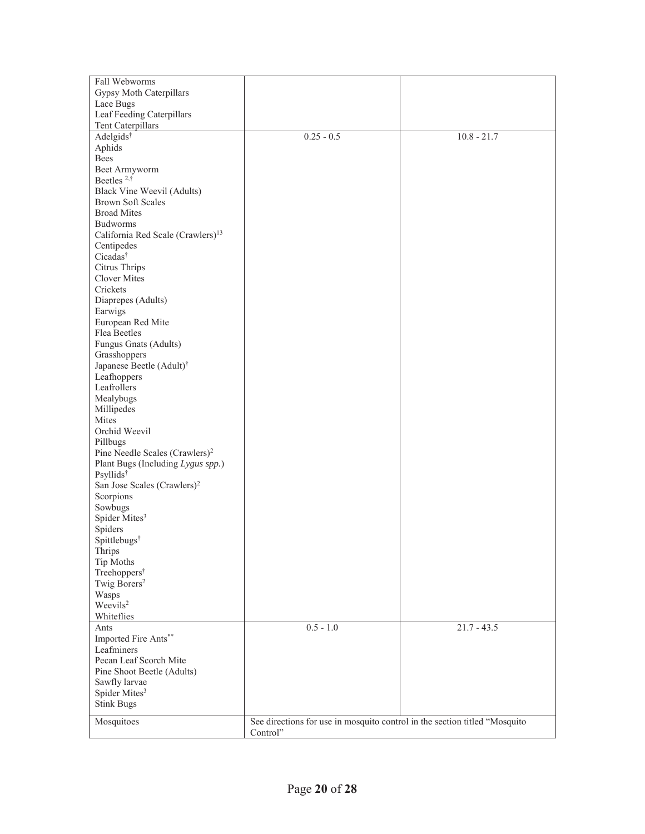| Fall Webworms                                 |                                                                            |               |  |
|-----------------------------------------------|----------------------------------------------------------------------------|---------------|--|
| Gypsy Moth Caterpillars                       |                                                                            |               |  |
| Lace Bugs                                     |                                                                            |               |  |
| Leaf Feeding Caterpillars                     |                                                                            |               |  |
| Tent Caterpillars                             |                                                                            |               |  |
| Adelgids <sup>†</sup>                         | $0.25 - 0.5$                                                               | $10.8 - 21.7$ |  |
| Aphids                                        |                                                                            |               |  |
| Bees                                          |                                                                            |               |  |
|                                               |                                                                            |               |  |
| Beet Armyworm<br>Beetles <sup>2,†</sup>       |                                                                            |               |  |
|                                               |                                                                            |               |  |
| Black Vine Weevil (Adults)                    |                                                                            |               |  |
| <b>Brown Soft Scales</b>                      |                                                                            |               |  |
| <b>Broad Mites</b>                            |                                                                            |               |  |
| <b>Budworms</b>                               |                                                                            |               |  |
| California Red Scale (Crawlers) <sup>13</sup> |                                                                            |               |  |
| Centipedes                                    |                                                                            |               |  |
| Cicadas <sup>†</sup>                          |                                                                            |               |  |
| Citrus Thrips                                 |                                                                            |               |  |
| Clover Mites                                  |                                                                            |               |  |
| Crickets                                      |                                                                            |               |  |
| Diaprepes (Adults)                            |                                                                            |               |  |
| Earwigs                                       |                                                                            |               |  |
| European Red Mite                             |                                                                            |               |  |
| Flea Beetles                                  |                                                                            |               |  |
| Fungus Gnats (Adults)                         |                                                                            |               |  |
| Grasshoppers                                  |                                                                            |               |  |
| Japanese Beetle (Adult) <sup>†</sup>          |                                                                            |               |  |
| Leafhoppers                                   |                                                                            |               |  |
| Leafrollers                                   |                                                                            |               |  |
| Mealybugs                                     |                                                                            |               |  |
| Millipedes                                    |                                                                            |               |  |
| Mites                                         |                                                                            |               |  |
| Orchid Weevil                                 |                                                                            |               |  |
| Pillbugs                                      |                                                                            |               |  |
| Pine Needle Scales (Crawlers) <sup>2</sup>    |                                                                            |               |  |
| Plant Bugs (Including Lygus spp.)             |                                                                            |               |  |
| Psyllids <sup>†</sup>                         |                                                                            |               |  |
| San Jose Scales (Crawlers) <sup>2</sup>       |                                                                            |               |  |
| Scorpions                                     |                                                                            |               |  |
| Sowbugs                                       |                                                                            |               |  |
| Spider Mites <sup>3</sup>                     |                                                                            |               |  |
| Spiders                                       |                                                                            |               |  |
| Spittlebugs <sup>†</sup>                      |                                                                            |               |  |
| Thrips                                        |                                                                            |               |  |
| Tip Moths                                     |                                                                            |               |  |
| Treehoppers <sup>†</sup>                      |                                                                            |               |  |
| Twig Borers <sup>2</sup>                      |                                                                            |               |  |
| Wasps                                         |                                                                            |               |  |
| Weevils <sup>2</sup>                          |                                                                            |               |  |
| Whiteflies                                    |                                                                            |               |  |
| Ants                                          | $0.5 - 1.0$                                                                | $21.7 - 43.5$ |  |
| Imported Fire Ants**                          |                                                                            |               |  |
| Leafminers                                    |                                                                            |               |  |
| Pecan Leaf Scorch Mite                        |                                                                            |               |  |
| Pine Shoot Beetle (Adults)                    |                                                                            |               |  |
|                                               |                                                                            |               |  |
| Sawfly larvae<br>Spider Mites <sup>3</sup>    |                                                                            |               |  |
| <b>Stink Bugs</b>                             |                                                                            |               |  |
|                                               |                                                                            |               |  |
| Mosquitoes                                    | See directions for use in mosquito control in the section titled "Mosquito |               |  |
|                                               | Control"                                                                   |               |  |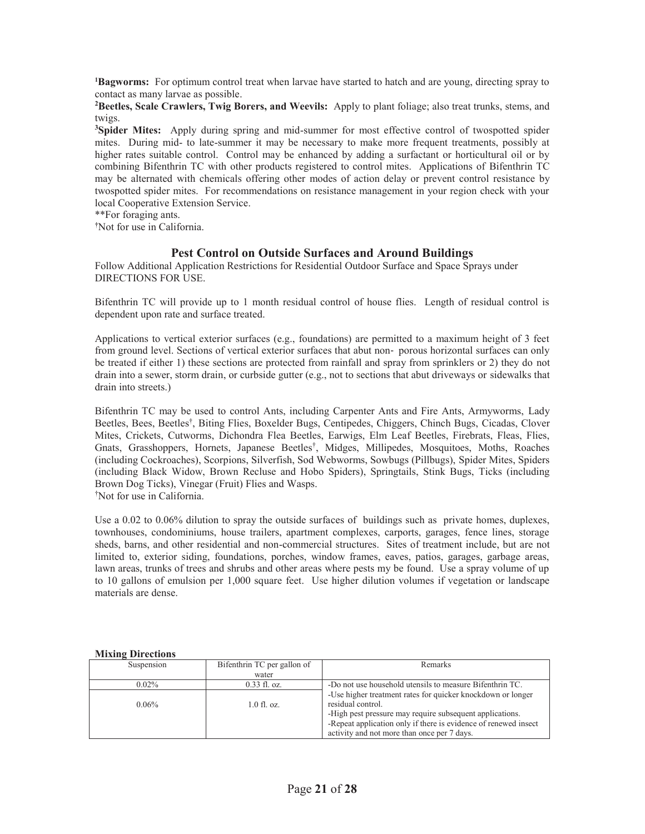**1Bagworms:** For optimum control treat when larvae have started to hatch and are young, directing spray to contact as many larvae as possible.

**2 Beetles, Scale Crawlers, Twig Borers, and Weevils:** Apply to plant foliage; also treat trunks, stems, and twigs.

**3 Spider Mites:** Apply during spring and mid-summer for most effective control of twospotted spider mites. During mid- to late-summer it may be necessary to make more frequent treatments, possibly at higher rates suitable control. Control may be enhanced by adding a surfactant or horticultural oil or by combining Bifenthrin TC with other products registered to control mites. Applications of Bifenthrin TC may be alternated with chemicals offering other modes of action delay or prevent control resistance by twospotted spider mites. For recommendations on resistance management in your region check with your local Cooperative Extension Service.

\*\*For foraging ants.

**†** Not for use in California.

## **Pest Control on Outside Surfaces and Around Buildings**

Follow Additional Application Restrictions for Residential Outdoor Surface and Space Sprays under DIRECTIONS FOR USE.

Bifenthrin TC will provide up to 1 month residual control of house flies. Length of residual control is dependent upon rate and surface treated.

Applications to vertical exterior surfaces (e.g., foundations) are permitted to a maximum height of 3 feet from ground level. Sections of vertical exterior surfaces that abut non- porous horizontal surfaces can only be treated if either 1) these sections are protected from rainfall and spray from sprinklers or 2) they do not drain into a sewer, storm drain, or curbside gutter (e.g., not to sections that abut driveways or sidewalks that drain into streets.)

Bifenthrin TC may be used to control Ants, including Carpenter Ants and Fire Ants, Armyworms, Lady Beetles, Bees, Beetles† , Biting Flies, Boxelder Bugs, Centipedes, Chiggers, Chinch Bugs, Cicadas, Clover Mites, Crickets, Cutworms, Dichondra Flea Beetles, Earwigs, Elm Leaf Beetles, Firebrats, Fleas, Flies, Gnats, Grasshoppers, Hornets, Japanese Beetles† , Midges, Millipedes, Mosquitoes, Moths, Roaches (including Cockroaches), Scorpions, Silverfish, Sod Webworms, Sowbugs (Pillbugs), Spider Mites, Spiders (including Black Widow, Brown Recluse and Hobo Spiders), Springtails, Stink Bugs, Ticks (including Brown Dog Ticks), Vinegar (Fruit) Flies and Wasps. † Not for use in California.

Use a 0.02 to 0.06% dilution to spray the outside surfaces of buildings such as private homes, duplexes, townhouses, condominiums, house trailers, apartment complexes, carports, garages, fence lines, storage sheds, barns, and other residential and non-commercial structures. Sites of treatment include, but are not limited to, exterior siding, foundations, porches, window frames, eaves, patios, garages, garbage areas, lawn areas, trunks of trees and shrubs and other areas where pests my be found. Use a spray volume of up to 10 gallons of emulsion per 1,000 square feet. Use higher dilution volumes if vegetation or landscape materials are dense.

#### **Mixing Directions**

| Suspension | Bifenthrin TC per gallon of | Remarks                                                         |
|------------|-----------------------------|-----------------------------------------------------------------|
|            | water                       |                                                                 |
| $0.02\%$   | $0.33$ fl. oz.              | -Do not use household utensils to measure Bifenthrin TC.        |
|            |                             | -Use higher treatment rates for quicker knockdown or longer     |
| $0.06\%$   | $1.0$ fl. oz.               | residual control.                                               |
|            |                             | -High pest pressure may require subsequent applications.        |
|            |                             | -Repeat application only if there is evidence of renewed insect |
|            |                             | activity and not more than once per 7 days.                     |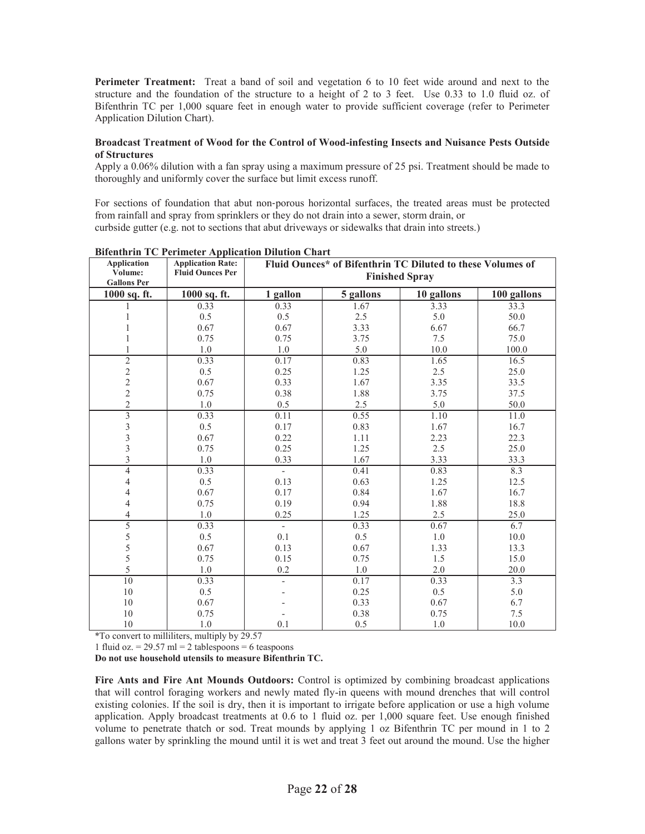Perimeter Treatment: Treat a band of soil and vegetation 6 to 10 feet wide around and next to the structure and the foundation of the structure to a height of 2 to 3 feet. Use 0.33 to 1.0 fluid oz. of Bifenthrin TC per 1,000 square feet in enough water to provide sufficient coverage (refer to Perimeter Application Dilution Chart).

#### **Broadcast Treatment of Wood for the Control of Wood-infesting Insects and Nuisance Pests Outside of Structures**

Apply a 0.06% dilution with a fan spray using a maximum pressure of 25 psi. Treatment should be made to thoroughly and uniformly cover the surface but limit excess runoff.

For sections of foundation that abut non-porous horizontal surfaces, the treated areas must be protected from rainfall and spray from sprinklers or they do not drain into a sewer, storm drain, or curbside gutter (e.g. not to sections that abut driveways or sidewalks that drain into streets.)

| <b>Application</b><br>Volume:<br><b>Gallons Per</b> | <b>Application Rate:</b><br><b>Fluid Ounces Per</b> | Fluid Ounces* of Bifenthrin TC Diluted to these Volumes of<br><b>Finished Spray</b> |           |            |             |
|-----------------------------------------------------|-----------------------------------------------------|-------------------------------------------------------------------------------------|-----------|------------|-------------|
| 1000 sq. ft.                                        | 1000 sq. ft.                                        | 1 gallon                                                                            | 5 gallons | 10 gallons | 100 gallons |
|                                                     | 0.33                                                | 0.33                                                                                | 1.67      | 3.33       | 33.3        |
| 1                                                   | 0.5                                                 | 0.5                                                                                 | 2.5       | 5.0        | 50.0        |
|                                                     | 0.67                                                | 0.67                                                                                | 3.33      | 6.67       | 66.7        |
| 1                                                   | 0.75                                                | 0.75                                                                                | 3.75      | 7.5        | 75.0        |
| $\mathbf{1}$                                        | 1.0                                                 | 1.0                                                                                 | 5.0       | 10.0       | 100.0       |
| $\overline{2}$                                      | 0.33                                                | 0.17                                                                                | 0.83      | 1.65       | 16.5        |
| $\frac{2}{2}$                                       | 0.5                                                 | 0.25                                                                                | 1.25      | 2.5        | 25.0        |
|                                                     | 0.67                                                | 0.33                                                                                | 1.67      | 3.35       | 33.5        |
| $\overline{c}$                                      | 0.75                                                | 0.38                                                                                | 1.88      | 3.75       | 37.5        |
| $\overline{c}$                                      | 1.0                                                 | 0.5                                                                                 | 2.5       | 5.0        | 50.0        |
| $\overline{\overline{3}}$                           | 0.33                                                | 0.11                                                                                | 0.55      | 1.10       | 11.0        |
| $\mathfrak{Z}$                                      | 0.5                                                 | 0.17                                                                                | 0.83      | 1.67       | 16.7        |
| $\overline{3}$                                      | 0.67                                                | 0.22                                                                                | 1.11      | 2.23       | 22.3        |
| $\overline{\mathbf{3}}$                             | 0.75                                                | 0.25                                                                                | 1.25      | 2.5        | 25.0        |
| $\overline{3}$                                      | 1.0                                                 | 0.33                                                                                | 1.67      | 3.33       | 33.3        |
| $\overline{4}$                                      | 0.33                                                | $\overline{\phantom{0}}$                                                            | 0.41      | 0.83       | 8.3         |
| $\overline{\mathcal{L}}$                            | 0.5                                                 | 0.13                                                                                | 0.63      | 1.25       | 12.5        |
| 4                                                   | 0.67                                                | 0.17                                                                                | 0.84      | 1.67       | 16.7        |
| $\overline{4}$                                      | 0.75                                                | 0.19                                                                                | 0.94      | 1.88       | 18.8        |
| $\overline{4}$                                      | 1.0                                                 | 0.25                                                                                | 1.25      | 2.5        | 25.0        |
| $\overline{5}$                                      | 0.33                                                | $\sim$                                                                              | 0.33      | 0.67       | 6.7         |
| 5                                                   | 0.5                                                 | 0.1                                                                                 | 0.5       | $1.0\,$    | 10.0        |
| 5                                                   | 0.67                                                | 0.13                                                                                | 0.67      | 1.33       | 13.3        |
| 5                                                   | 0.75                                                | 0.15                                                                                | 0.75      | 1.5        | 15.0        |
| 5                                                   | 1.0                                                 | 0.2                                                                                 | 1.0       | 2.0        | 20.0        |
| 10                                                  | 0.33                                                | $\overline{\phantom{0}}$                                                            | 0.17      | 0.33       | 3.3         |
| 10                                                  | 0.5                                                 |                                                                                     | 0.25      | 0.5        | 5.0         |
| 10                                                  | 0.67                                                |                                                                                     | 0.33      | 0.67       | 6.7         |
| 10                                                  | 0.75                                                |                                                                                     | 0.38      | 0.75       | 7.5         |
| 10                                                  | $1.0\,$                                             | 0.1                                                                                 | 0.5       | 1.0        | 10.0        |

**Bifenthrin TC Perimeter Application Dilution Chart** 

\*To convert to milliliters, multiply by 29.57

1 fluid oz. =  $29.57$  ml = 2 tablespoons = 6 teaspoons

**Do not use household utensils to measure Bifenthrin TC.** 

**Fire Ants and Fire Ant Mounds Outdoors:** Control is optimized by combining broadcast applications that will control foraging workers and newly mated fly-in queens with mound drenches that will control existing colonies. If the soil is dry, then it is important to irrigate before application or use a high volume application. Apply broadcast treatments at 0.6 to 1 fluid oz. per 1,000 square feet. Use enough finished volume to penetrate thatch or sod. Treat mounds by applying 1 oz Bifenthrin TC per mound in 1 to 2 gallons water by sprinkling the mound until it is wet and treat 3 feet out around the mound. Use the higher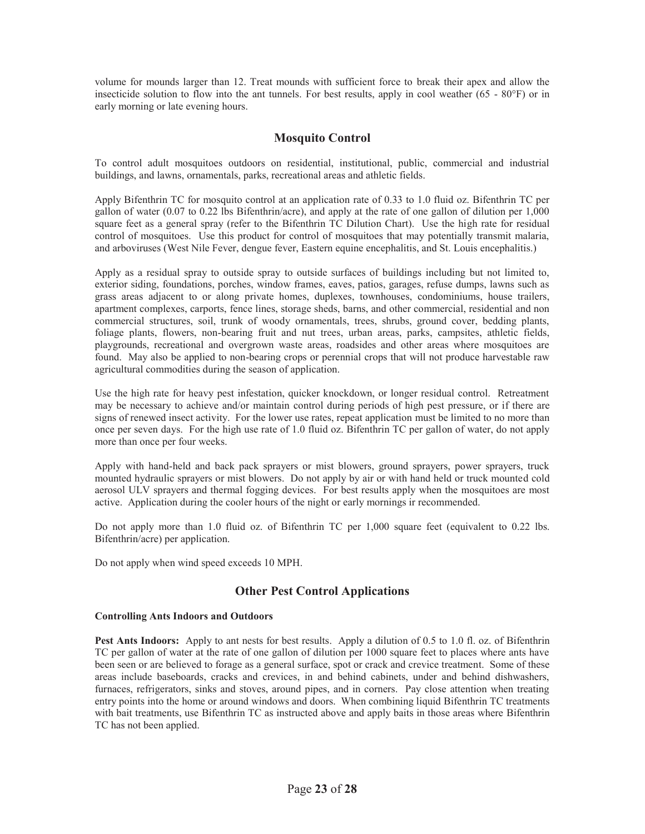volume for mounds larger than 12. Treat mounds with sufficient force to break their apex and allow the insecticide solution to flow into the ant tunnels. For best results, apply in cool weather (65 - 80°F) or in early morning or late evening hours.

## **Mosquito Control**

To control adult mosquitoes outdoors on residential, institutional, public, commercial and industrial buildings, and lawns, ornamentals, parks, recreational areas and athletic fields.

Apply Bifenthrin TC for mosquito control at an application rate of 0.33 to 1.0 fluid oz. Bifenthrin TC per gallon of water (0.07 to 0.22 lbs Bifenthrin/acre), and apply at the rate of one gallon of dilution per 1,000 square feet as a general spray (refer to the Bifenthrin TC Dilution Chart). Use the high rate for residual control of mosquitoes. Use this product for control of mosquitoes that may potentially transmit malaria, and arboviruses (West Nile Fever, dengue fever, Eastern equine encephalitis, and St. Louis encephalitis.)

Apply as a residual spray to outside spray to outside surfaces of buildings including but not limited to, exterior siding, foundations, porches, window frames, eaves, patios, garages, refuse dumps, lawns such as grass areas adjacent to or along private homes, duplexes, townhouses, condominiums, house trailers, apartment complexes, carports, fence lines, storage sheds, barns, and other commercial, residential and non commercial structures, soil, trunk of woody ornamentals, trees, shrubs, ground cover, bedding plants, foliage plants, flowers, non-bearing fruit and nut trees, urban areas, parks, campsites, athletic fields, playgrounds, recreational and overgrown waste areas, roadsides and other areas where mosquitoes are found. May also be applied to non-bearing crops or perennial crops that will not produce harvestable raw agricultural commodities during the season of application.

Use the high rate for heavy pest infestation, quicker knockdown, or longer residual control. Retreatment may be necessary to achieve and/or maintain control during periods of high pest pressure, or if there are signs of renewed insect activity. For the lower use rates, repeat application must be limited to no more than once per seven days. For the high use rate of 1.0 fluid oz. Bifenthrin TC per gallon of water, do not apply more than once per four weeks.

Apply with hand-held and back pack sprayers or mist blowers, ground sprayers, power sprayers, truck mounted hydraulic sprayers or mist blowers. Do not apply by air or with hand held or truck mounted cold aerosol ULV sprayers and thermal fogging devices. For best results apply when the mosquitoes are most active. Application during the cooler hours of the night or early mornings ir recommended.

Do not apply more than 1.0 fluid oz. of Bifenthrin TC per 1,000 square feet (equivalent to 0.22 lbs. Bifenthrin/acre) per application.

Do not apply when wind speed exceeds 10 MPH.

## **Other Pest Control Applications**

#### **Controlling Ants Indoors and Outdoors**

**Pest Ants Indoors:** Apply to ant nests for best results. Apply a dilution of 0.5 to 1.0 fl. oz. of Bifenthrin TC per gallon of water at the rate of one gallon of dilution per 1000 square feet to places where ants have been seen or are believed to forage as a general surface, spot or crack and crevice treatment. Some of these areas include baseboards, cracks and crevices, in and behind cabinets, under and behind dishwashers, furnaces, refrigerators, sinks and stoves, around pipes, and in corners. Pay close attention when treating entry points into the home or around windows and doors. When combining liquid Bifenthrin TC treatments with bait treatments, use Bifenthrin TC as instructed above and apply baits in those areas where Bifenthrin TC has not been applied.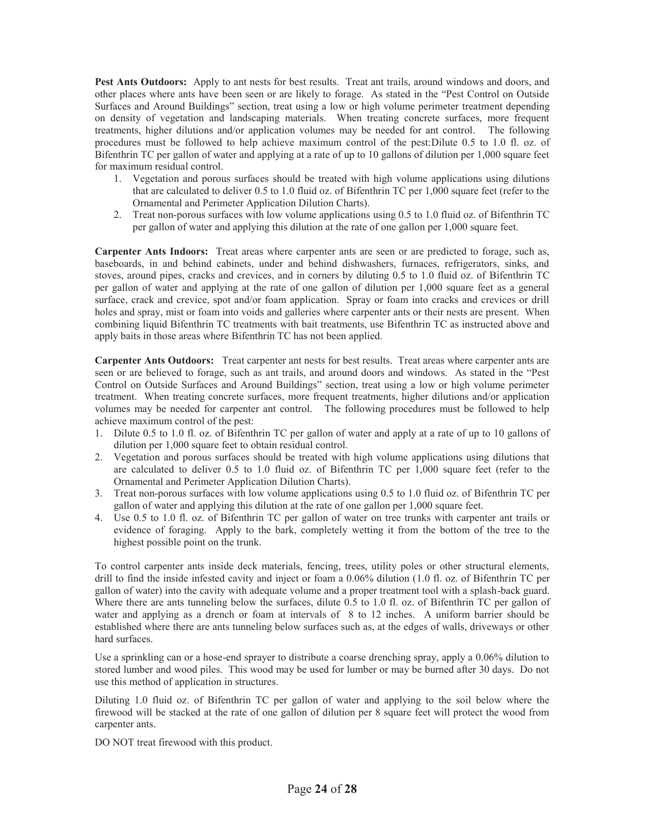**Pest Ants Outdoors:** Apply to ant nests for best results. Treat ant trails, around windows and doors, and other places where ants have been seen or are likely to forage. As stated in the "Pest Control on Outside Surfaces and Around Buildings" section, treat using a low or high volume perimeter treatment depending on density of vegetation and landscaping materials. When treating concrete surfaces, more frequent treatments, higher dilutions and/or application volumes may be needed for ant control. The following procedures must be followed to help achieve maximum control of the pest:Dilute 0.5 to 1.0 fl. oz. of Bifenthrin TC per gallon of water and applying at a rate of up to 10 gallons of dilution per 1,000 square feet for maximum residual control.

- 1. Vegetation and porous surfaces should be treated with high volume applications using dilutions that are calculated to deliver 0.5 to 1.0 fluid oz. of Bifenthrin TC per 1,000 square feet (refer to the Ornamental and Perimeter Application Dilution Charts).
- 2. Treat non-porous surfaces with low volume applications using 0.5 to 1.0 fluid oz. of Bifenthrin TC per gallon of water and applying this dilution at the rate of one gallon per 1,000 square feet.

**Carpenter Ants Indoors:** Treat areas where carpenter ants are seen or are predicted to forage, such as, baseboards, in and behind cabinets, under and behind dishwashers, furnaces, refrigerators, sinks, and stoves, around pipes, cracks and crevices, and in corners by diluting 0.5 to 1.0 fluid oz. of Bifenthrin TC per gallon of water and applying at the rate of one gallon of dilution per 1,000 square feet as a general surface, crack and crevice, spot and/or foam application. Spray or foam into cracks and crevices or drill holes and spray, mist or foam into voids and galleries where carpenter ants or their nests are present. When combining liquid Bifenthrin TC treatments with bait treatments, use Bifenthrin TC as instructed above and apply baits in those areas where Bifenthrin TC has not been applied.

**Carpenter Ants Outdoors:** Treat carpenter ant nests for best results. Treat areas where carpenter ants are seen or are believed to forage, such as ant trails, and around doors and windows. As stated in the "Pest Control on Outside Surfaces and Around Buildings" section, treat using a low or high volume perimeter treatment. When treating concrete surfaces, more frequent treatments, higher dilutions and/or application volumes may be needed for carpenter ant control. The following procedures must be followed to help achieve maximum control of the pest:

- 1. Dilute 0.5 to 1.0 fl. oz. of Bifenthrin TC per gallon of water and apply at a rate of up to 10 gallons of dilution per 1,000 square feet to obtain residual control.
- 2. Vegetation and porous surfaces should be treated with high volume applications using dilutions that are calculated to deliver 0.5 to 1.0 fluid oz. of Bifenthrin TC per 1,000 square feet (refer to the Ornamental and Perimeter Application Dilution Charts).
- 3. Treat non-porous surfaces with low volume applications using 0.5 to 1.0 fluid oz. of Bifenthrin TC per gallon of water and applying this dilution at the rate of one gallon per 1,000 square feet.
- 4. Use 0.5 to 1.0 fl. oz. of Bifenthrin TC per gallon of water on tree trunks with carpenter ant trails or evidence of foraging. Apply to the bark, completely wetting it from the bottom of the tree to the highest possible point on the trunk.

To control carpenter ants inside deck materials, fencing, trees, utility poles or other structural elements, drill to find the inside infested cavity and inject or foam a 0.06% dilution (1.0 fl. oz. of Bifenthrin TC per gallon of water) into the cavity with adequate volume and a proper treatment tool with a splash-back guard. Where there are ants tunneling below the surfaces, dilute 0.5 to 1.0 fl. oz. of Bifenthrin TC per gallon of water and applying as a drench or foam at intervals of 8 to 12 inches. A uniform barrier should be established where there are ants tunneling below surfaces such as, at the edges of walls, driveways or other hard surfaces.

Use a sprinkling can or a hose-end sprayer to distribute a coarse drenching spray, apply a 0.06% dilution to stored lumber and wood piles. This wood may be used for lumber or may be burned after 30 days. Do not use this method of application in structures.

Diluting 1.0 fluid oz. of Bifenthrin TC per gallon of water and applying to the soil below where the firewood will be stacked at the rate of one gallon of dilution per 8 square feet will protect the wood from carpenter ants.

DO NOT treat firewood with this product.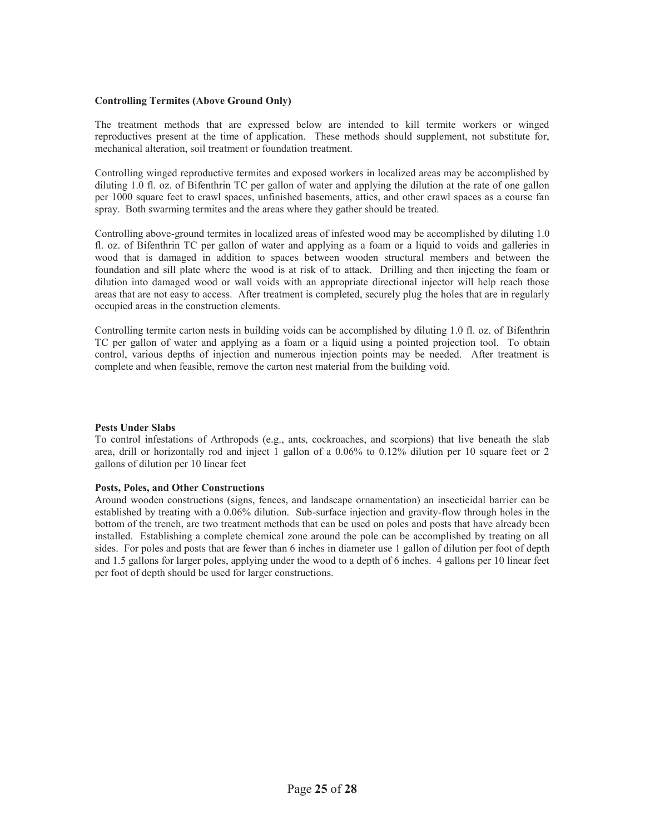#### **Controlling Termites (Above Ground Only)**

The treatment methods that are expressed below are intended to kill termite workers or winged reproductives present at the time of application. These methods should supplement, not substitute for, mechanical alteration, soil treatment or foundation treatment.

Controlling winged reproductive termites and exposed workers in localized areas may be accomplished by diluting 1.0 fl. oz. of Bifenthrin TC per gallon of water and applying the dilution at the rate of one gallon per 1000 square feet to crawl spaces, unfinished basements, attics, and other crawl spaces as a course fan spray. Both swarming termites and the areas where they gather should be treated.

Controlling above-ground termites in localized areas of infested wood may be accomplished by diluting 1.0 fl. oz. of Bifenthrin TC per gallon of water and applying as a foam or a liquid to voids and galleries in wood that is damaged in addition to spaces between wooden structural members and between the foundation and sill plate where the wood is at risk of to attack. Drilling and then injecting the foam or dilution into damaged wood or wall voids with an appropriate directional injector will help reach those areas that are not easy to access. After treatment is completed, securely plug the holes that are in regularly occupied areas in the construction elements.

Controlling termite carton nests in building voids can be accomplished by diluting 1.0 fl. oz. of Bifenthrin TC per gallon of water and applying as a foam or a liquid using a pointed projection tool. To obtain control, various depths of injection and numerous injection points may be needed. After treatment is complete and when feasible, remove the carton nest material from the building void.

#### **Pests Under Slabs**

To control infestations of Arthropods (e.g., ants, cockroaches, and scorpions) that live beneath the slab area, drill or horizontally rod and inject 1 gallon of a 0.06% to 0.12% dilution per 10 square feet or 2 gallons of dilution per 10 linear feet

#### **Posts, Poles, and Other Constructions**

Around wooden constructions (signs, fences, and landscape ornamentation) an insecticidal barrier can be established by treating with a 0.06% dilution. Sub-surface injection and gravity-flow through holes in the bottom of the trench, are two treatment methods that can be used on poles and posts that have already been installed. Establishing a complete chemical zone around the pole can be accomplished by treating on all sides. For poles and posts that are fewer than 6 inches in diameter use 1 gallon of dilution per foot of depth and 1.5 gallons for larger poles, applying under the wood to a depth of 6 inches. 4 gallons per 10 linear feet per foot of depth should be used for larger constructions.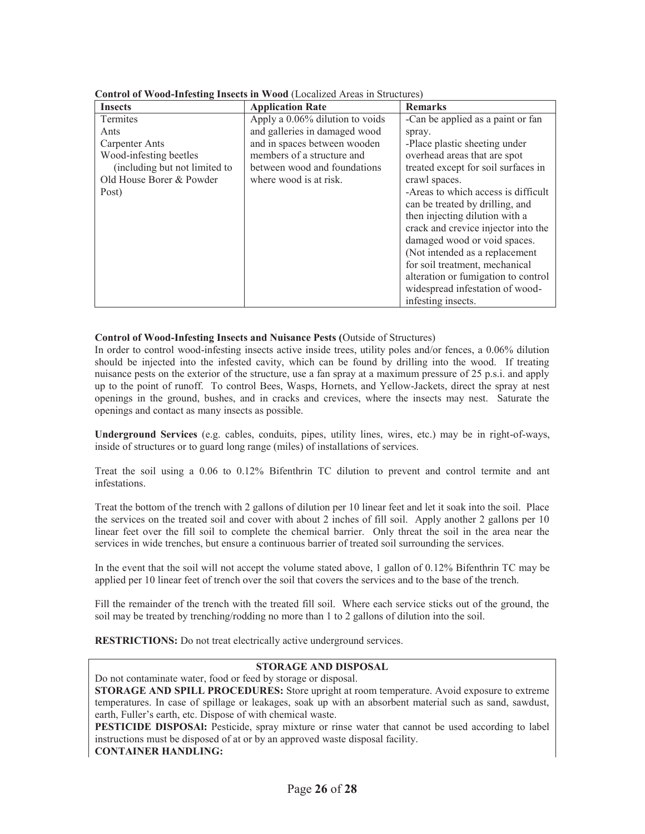| <b>Insects</b>                | <b>Application Rate</b>         | <b>Remarks</b>                      |
|-------------------------------|---------------------------------|-------------------------------------|
| Termites                      | Apply a 0.06% dilution to voids | -Can be applied as a paint or fan   |
| Ants                          | and galleries in damaged wood   | spray.                              |
| Carpenter Ants                | and in spaces between wooden    | -Place plastic sheeting under       |
| Wood-infesting beetles        | members of a structure and      | overhead areas that are spot        |
| (including but not limited to | between wood and foundations    | treated except for soil surfaces in |
| Old House Borer & Powder      | where wood is at risk.          | crawl spaces.                       |
| Post)                         |                                 | -Areas to which access is difficult |
|                               |                                 | can be treated by drilling, and     |
|                               |                                 | then injecting dilution with a      |
|                               |                                 | crack and crevice injector into the |
|                               |                                 | damaged wood or void spaces.        |
|                               |                                 | (Not intended as a replacement      |
|                               |                                 | for soil treatment, mechanical      |
|                               |                                 | alteration or fumigation to control |
|                               |                                 | widespread infestation of wood-     |
|                               |                                 | infesting insects.                  |

| Control of Wood-Infesting Insects in Wood (Localized Areas in Structures) |  |
|---------------------------------------------------------------------------|--|
|                                                                           |  |

#### **Control of Wood-Infesting Insects and Nuisance Pests (**Outside of Structures)

In order to control wood-infesting insects active inside trees, utility poles and/or fences, a 0.06% dilution should be injected into the infested cavity, which can be found by drilling into the wood. If treating nuisance pests on the exterior of the structure, use a fan spray at a maximum pressure of 25 p.s.i. and apply up to the point of runoff. To control Bees, Wasps, Hornets, and Yellow-Jackets, direct the spray at nest openings in the ground, bushes, and in cracks and crevices, where the insects may nest. Saturate the openings and contact as many insects as possible.

**Underground Services** (e.g. cables, conduits, pipes, utility lines, wires, etc.) may be in right-of-ways, inside of structures or to guard long range (miles) of installations of services.

Treat the soil using a 0.06 to 0.12% Bifenthrin TC dilution to prevent and control termite and ant infestations.

Treat the bottom of the trench with 2 gallons of dilution per 10 linear feet and let it soak into the soil. Place the services on the treated soil and cover with about 2 inches of fill soil. Apply another 2 gallons per 10 linear feet over the fill soil to complete the chemical barrier. Only threat the soil in the area near the services in wide trenches, but ensure a continuous barrier of treated soil surrounding the services.

In the event that the soil will not accept the volume stated above, 1 gallon of 0.12% Bifenthrin TC may be applied per 10 linear feet of trench over the soil that covers the services and to the base of the trench.

Fill the remainder of the trench with the treated fill soil. Where each service sticks out of the ground, the soil may be treated by trenching/rodding no more than 1 to 2 gallons of dilution into the soil.

**RESTRICTIONS:** Do not treat electrically active underground services.

## **STORAGE AND DISPOSAL**

Do not contaminate water, food or feed by storage or disposal.

**STORAGE AND SPILL PROCEDURES:** Store upright at room temperature. Avoid exposure to extreme temperatures. In case of spillage or leakages, soak up with an absorbent material such as sand, sawdust, earth, Fuller's earth, etc. Dispose of with chemical waste.

**PESTICIDE DISPOSAl:** Pesticide, spray mixture or rinse water that cannot be used according to label instructions must be disposed of at or by an approved waste disposal facility. **CONTAINER HANDLING:**

Page **26** of **28**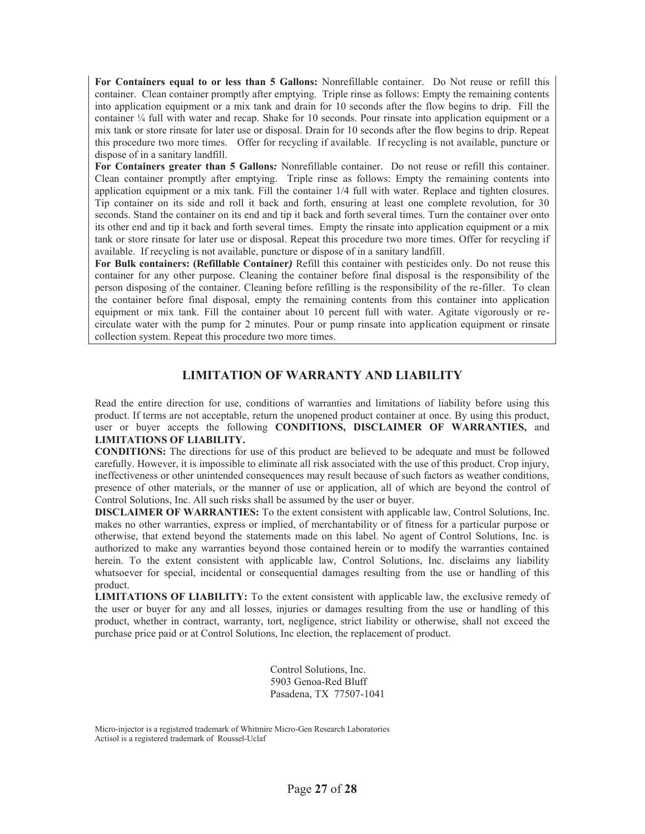**For Containers equal to or less than 5 Gallons:** Nonrefillable container. Do Not reuse or refill this container. Clean container promptly after emptying. Triple rinse as follows: Empty the remaining contents into application equipment or a mix tank and drain for 10 seconds after the flow begins to drip. Fill the container ¼ full with water and recap. Shake for 10 seconds. Pour rinsate into application equipment or a mix tank or store rinsate for later use or disposal. Drain for 10 seconds after the flow begins to drip. Repeat this procedure two more times. Offer for recycling if available. If recycling is not available, puncture or dispose of in a sanitary landfill.

**For Containers greater than 5 Gallons***:* Nonrefillable container. Do not reuse or refill this container. Clean container promptly after emptying. Triple rinse as follows: Empty the remaining contents into application equipment or a mix tank. Fill the container 1/4 full with water. Replace and tighten closures. Tip container on its side and roll it back and forth, ensuring at least one complete revolution, for 30 seconds. Stand the container on its end and tip it back and forth several times. Turn the container over onto its other end and tip it back and forth several times. Empty the rinsate into application equipment or a mix tank or store rinsate for later use or disposal. Repeat this procedure two more times. Offer for recycling if available. If recycling is not available, puncture or dispose of in a sanitary landfill.

**For Bulk containers: (Refillable Container***)* Refill this container with pesticides only. Do not reuse this container for any other purpose*.* Cleaning the container before final disposal is the responsibility of the person disposing of the container. Cleaning before refilling is the responsibility of the re-filler.To clean the container before final disposal, empty the remaining contents from this container into application equipment or mix tank. Fill the container about 10 percent full with water. Agitate vigorously or recirculate water with the pump for 2 minutes. Pour or pump rinsate into application equipment or rinsate collection system. Repeat this procedure two more times.

## **LIMITATION OF WARRANTY AND LIABILITY**

Read the entire direction for use, conditions of warranties and limitations of liability before using this product. If terms are not acceptable, return the unopened product container at once. By using this product, user or buyer accepts the following **CONDITIONS, DISCLAIMER OF WARRANTIES,** and **LIMITATIONS OF LIABILITY.** 

**CONDITIONS:** The directions for use of this product are believed to be adequate and must be followed carefully. However, it is impossible to eliminate all risk associated with the use of this product. Crop injury, ineffectiveness or other unintended consequences may result because of such factors as weather conditions, presence of other materials, or the manner of use or application, all of which are beyond the control of Control Solutions, Inc. All such risks shall be assumed by the user or buyer.

**DISCLAIMER OF WARRANTIES:** To the extent consistent with applicable law, Control Solutions, Inc. makes no other warranties, express or implied, of merchantability or of fitness for a particular purpose or otherwise, that extend beyond the statements made on this label. No agent of Control Solutions, Inc. is authorized to make any warranties beyond those contained herein or to modify the warranties contained herein. To the extent consistent with applicable law, Control Solutions, Inc. disclaims any liability whatsoever for special, incidental or consequential damages resulting from the use or handling of this product.

**LIMITATIONS OF LIABILITY:** To the extent consistent with applicable law, the exclusive remedy of the user or buyer for any and all losses, injuries or damages resulting from the use or handling of this product, whether in contract, warranty, tort, negligence, strict liability or otherwise, shall not exceed the purchase price paid or at Control Solutions, Inc election, the replacement of product.

> Control Solutions, Inc. 5903 Genoa-Red Bluff Pasadena, TX 77507-1041

Micro-injector is a registered trademark of Whitmire Micro-Gen Research Laboratories Actisol is a registered trademark of Roussel-Uclaf